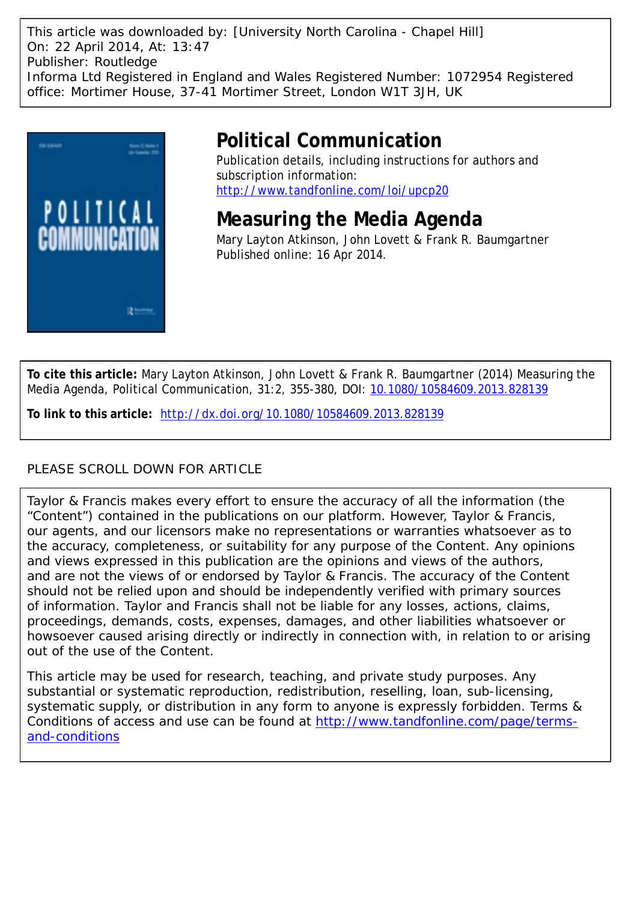This article was downloaded by: [University North Carolina - Chapel Hill] On: 22 April 2014, At: 13:47 Publisher: Routledge Informa Ltd Registered in England and Wales Registered Number: 1072954 Registered office: Mortimer House, 37-41 Mortimer Street, London W1T 3JH, UK



# **Political Communication**

Publication details, including instructions for authors and subscription information: <http://www.tandfonline.com/loi/upcp20>

**Measuring the Media Agenda** Mary Layton Atkinson, John Lovett & Frank R. Baumgartner Published online: 16 Apr 2014.

**To cite this article:** Mary Layton Atkinson, John Lovett & Frank R. Baumgartner (2014) Measuring the Media Agenda, Political Communication, 31:2, 355-380, DOI: [10.1080/10584609.2013.828139](http://www.tandfonline.com/action/showCitFormats?doi=10.1080/10584609.2013.828139)

**To link to this article:** <http://dx.doi.org/10.1080/10584609.2013.828139>

## PLEASE SCROLL DOWN FOR ARTICLE

Taylor & Francis makes every effort to ensure the accuracy of all the information (the "Content") contained in the publications on our platform. However, Taylor & Francis, our agents, and our licensors make no representations or warranties whatsoever as to the accuracy, completeness, or suitability for any purpose of the Content. Any opinions and views expressed in this publication are the opinions and views of the authors, and are not the views of or endorsed by Taylor & Francis. The accuracy of the Content should not be relied upon and should be independently verified with primary sources of information. Taylor and Francis shall not be liable for any losses, actions, claims, proceedings, demands, costs, expenses, damages, and other liabilities whatsoever or howsoever caused arising directly or indirectly in connection with, in relation to or arising out of the use of the Content.

This article may be used for research, teaching, and private study purposes. Any substantial or systematic reproduction, redistribution, reselling, loan, sub-licensing, systematic supply, or distribution in any form to anyone is expressly forbidden. Terms & Conditions of access and use can be found at [http://www.tandfonline.com/page/terms](http://www.tandfonline.com/page/terms-and-conditions)[and-conditions](http://www.tandfonline.com/page/terms-and-conditions)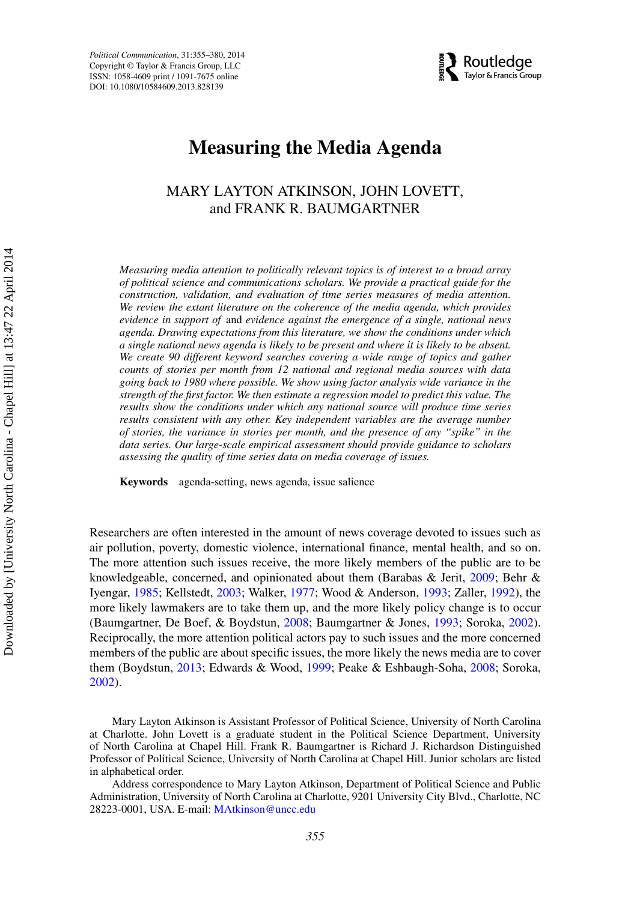*Political Communication*, 31:355–380, 2014 Copyright © Taylor & Francis Group, LLC ISSN: 1058-4609 print / 1091-7675 online DOI: 10.1080/10584609.2013.828139



## **Measuring the Media Agenda**

## MARY LAYTON ATKINSON, JOHN LOVETT, and FRANK R. BAUMGARTNER

*Measuring media attention to politically relevant topics is of interest to a broad array of political science and communications scholars. We provide a practical guide for the construction, validation, and evaluation of time series measures of media attention. We review the extant literature on the coherence of the media agenda, which provides evidence in support of* and *evidence against the emergence of a single, national news agenda. Drawing expectations from this literature, we show the conditions under which a single national news agenda is likely to be present and where it is likely to be absent. We create 90 different keyword searches covering a wide range of topics and gather counts of stories per month from 12 national and regional media sources with data going back to 1980 where possible. We show using factor analysis wide variance in the strength of the first factor. We then estimate a regression model to predict this value. The results show the conditions under which any national source will produce time series results consistent with any other. Key independent variables are the average number of stories, the variance in stories per month, and the presence of any "spike" in the data series. Our large-scale empirical assessment should provide guidance to scholars assessing the quality of time series data on media coverage of issues.*

**Keywords** agenda-setting, news agenda, issue salience

Researchers are often interested in the amount of news coverage devoted to issues such as air pollution, poverty, domestic violence, international finance, mental health, and so on. The more attention such issues receive, the more likely members of the public are to be knowledgeable, concerned, and opinionated about them (Barabas & Jerit, [2009;](#page-23-0) Behr & Iyengar, [1985;](#page-23-1) Kellstedt, [2003;](#page-23-2) Walker, [1977;](#page-24-0) Wood & Anderson, [1993;](#page-24-1) Zaller, [1992\)](#page-24-2), the more likely lawmakers are to take them up, and the more likely policy change is to occur (Baumgartner, De Boef, & Boydstun, [2008;](#page-23-3) Baumgartner & Jones, [1993;](#page-23-4) Soroka, [2002\)](#page-24-3). Reciprocally, the more attention political actors pay to such issues and the more concerned members of the public are about specific issues, the more likely the news media are to cover them (Boydstun, [2013;](#page-23-5) Edwards & Wood, [1999;](#page-23-6) Peake & Eshbaugh-Soha, [2008;](#page-24-4) Soroka, [2002\)](#page-24-3).

Mary Layton Atkinson is Assistant Professor of Political Science, University of North Carolina at Charlotte. John Lovett is a graduate student in the Political Science Department, University of North Carolina at Chapel Hill. Frank R. Baumgartner is Richard J. Richardson Distinguished Professor of Political Science, University of North Carolina at Chapel Hill. Junior scholars are listed in alphabetical order.

Address correspondence to Mary Layton Atkinson, Department of Political Science and Public Administration, University of North Carolina at Charlotte, 9201 University City Blvd., Charlotte, NC 28223-0001, USA. E-mail: [MAtkinson@uncc.edu](mailto:MAtkinson@uncc.edu)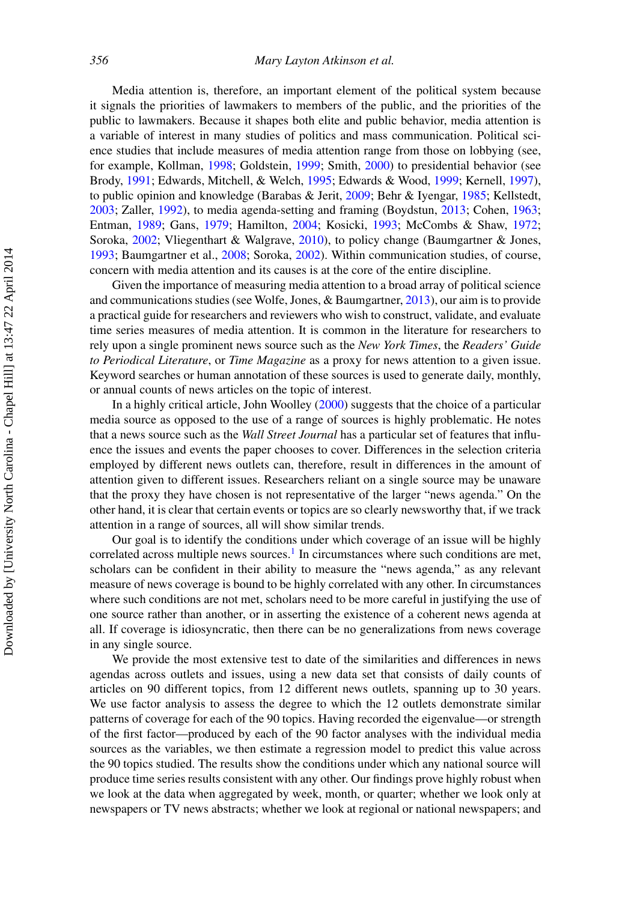Media attention is, therefore, an important element of the political system because it signals the priorities of lawmakers to members of the public, and the priorities of the public to lawmakers. Because it shapes both elite and public behavior, media attention is a variable of interest in many studies of politics and mass communication. Political science studies that include measures of media attention range from those on lobbying (see, for example, Kollman, [1998;](#page-24-5) Goldstein, [1999;](#page-23-7) Smith, [2000\)](#page-24-6) to presidential behavior (see Brody, [1991;](#page-23-8) Edwards, Mitchell, & Welch, [1995;](#page-23-9) Edwards & Wood, [1999;](#page-23-6) Kernell, [1997\)](#page-24-7), to public opinion and knowledge (Barabas & Jerit, [2009;](#page-23-0) Behr & Iyengar, [1985;](#page-23-1) Kellstedt, [2003;](#page-23-2) Zaller, [1992\)](#page-24-2), to media agenda-setting and framing (Boydstun, [2013;](#page-23-5) Cohen, [1963;](#page-23-10) Entman, [1989;](#page-23-11) Gans, [1979;](#page-23-12) Hamilton, [2004;](#page-23-13) Kosicki, [1993;](#page-24-8) McCombs & Shaw, [1972;](#page-24-9) Soroka, [2002;](#page-24-3) Vliegenthart & Walgrave, [2010\)](#page-24-10), to policy change (Baumgartner & Jones, [1993;](#page-23-4) Baumgartner et al., [2008;](#page-23-3) Soroka, [2002\)](#page-24-3). Within communication studies, of course, concern with media attention and its causes is at the core of the entire discipline.

Given the importance of measuring media attention to a broad array of political science and communications studies (see Wolfe, Jones, & Baumgartner, [2013\)](#page-24-11), our aim is to provide a practical guide for researchers and reviewers who wish to construct, validate, and evaluate time series measures of media attention. It is common in the literature for researchers to rely upon a single prominent news source such as the *New York Times*, the *Readers' Guide to Periodical Literature*, or *Time Magazine* as a proxy for news attention to a given issue. Keyword searches or human annotation of these sources is used to generate daily, monthly, or annual counts of news articles on the topic of interest.

In a highly critical article, John Woolley [\(2000\)](#page-24-12) suggests that the choice of a particular media source as opposed to the use of a range of sources is highly problematic. He notes that a news source such as the *Wall Street Journal* has a particular set of features that influence the issues and events the paper chooses to cover. Differences in the selection criteria employed by different news outlets can, therefore, result in differences in the amount of attention given to different issues. Researchers reliant on a single source may be unaware that the proxy they have chosen is not representative of the larger "news agenda." On the other hand, it is clear that certain events or topics are so clearly newsworthy that, if we track attention in a range of sources, all will show similar trends.

Our goal is to identify the conditions under which coverage of an issue will be highly correlated across multiple news sources.<sup>[1](#page-22-0)</sup> In circumstances where such conditions are met, scholars can be confident in their ability to measure the "news agenda," as any relevant measure of news coverage is bound to be highly correlated with any other. In circumstances where such conditions are not met, scholars need to be more careful in justifying the use of one source rather than another, or in asserting the existence of a coherent news agenda at all. If coverage is idiosyncratic, then there can be no generalizations from news coverage in any single source.

We provide the most extensive test to date of the similarities and differences in news agendas across outlets and issues, using a new data set that consists of daily counts of articles on 90 different topics, from 12 different news outlets, spanning up to 30 years. We use factor analysis to assess the degree to which the 12 outlets demonstrate similar patterns of coverage for each of the 90 topics. Having recorded the eigenvalue—or strength of the first factor—produced by each of the 90 factor analyses with the individual media sources as the variables, we then estimate a regression model to predict this value across the 90 topics studied. The results show the conditions under which any national source will produce time series results consistent with any other. Our findings prove highly robust when we look at the data when aggregated by week, month, or quarter; whether we look only at newspapers or TV news abstracts; whether we look at regional or national newspapers; and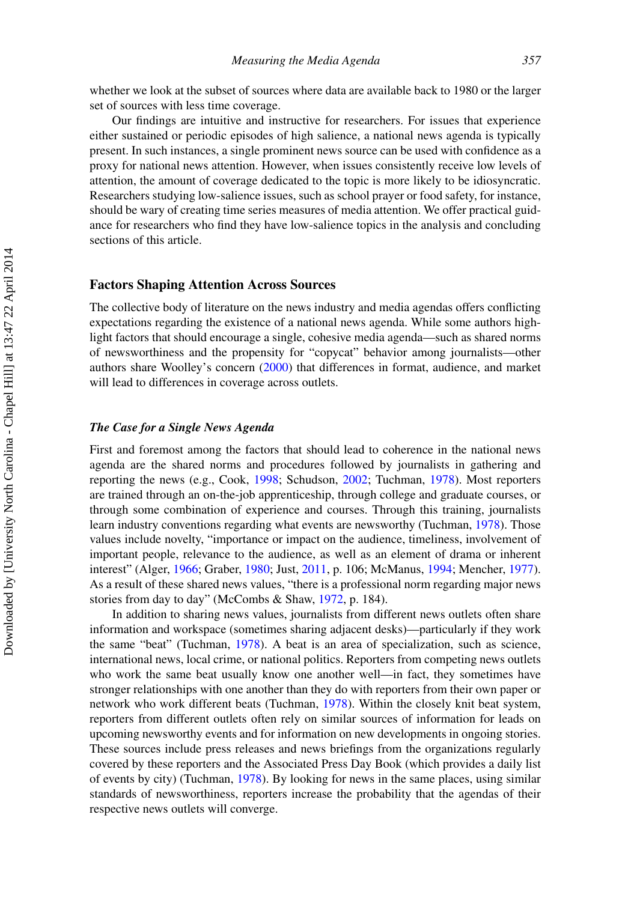whether we look at the subset of sources where data are available back to 1980 or the larger set of sources with less time coverage.

Our findings are intuitive and instructive for researchers. For issues that experience either sustained or periodic episodes of high salience, a national news agenda is typically present. In such instances, a single prominent news source can be used with confidence as a proxy for national news attention. However, when issues consistently receive low levels of attention, the amount of coverage dedicated to the topic is more likely to be idiosyncratic. Researchers studying low-salience issues, such as school prayer or food safety, for instance, should be wary of creating time series measures of media attention. We offer practical guidance for researchers who find they have low-salience topics in the analysis and concluding sections of this article.

#### **Factors Shaping Attention Across Sources**

The collective body of literature on the news industry and media agendas offers conflicting expectations regarding the existence of a national news agenda. While some authors highlight factors that should encourage a single, cohesive media agenda—such as shared norms of newsworthiness and the propensity for "copycat" behavior among journalists—other authors share Woolley's concern [\(2000\)](#page-24-12) that differences in format, audience, and market will lead to differences in coverage across outlets.

#### *The Case for a Single News Agenda*

First and foremost among the factors that should lead to coherence in the national news agenda are the shared norms and procedures followed by journalists in gathering and reporting the news (e.g., Cook, [1998;](#page-23-14) Schudson, [2002;](#page-24-13) Tuchman, [1978\)](#page-24-14). Most reporters are trained through an on-the-job apprenticeship, through college and graduate courses, or through some combination of experience and courses. Through this training, journalists learn industry conventions regarding what events are newsworthy (Tuchman, [1978\)](#page-24-14). Those values include novelty, "importance or impact on the audience, timeliness, involvement of important people, relevance to the audience, as well as an element of drama or inherent interest" (Alger, [1966;](#page-22-1) Graber, [1980;](#page-23-15) Just, [2011,](#page-23-16) p. 106; McManus, [1994;](#page-24-15) Mencher, [1977\)](#page-24-16). As a result of these shared news values, "there is a professional norm regarding major news stories from day to day" (McCombs & Shaw, [1972,](#page-24-9) p. 184).

In addition to sharing news values, journalists from different news outlets often share information and workspace (sometimes sharing adjacent desks)—particularly if they work the same "beat" (Tuchman, [1978\)](#page-24-14). A beat is an area of specialization, such as science, international news, local crime, or national politics. Reporters from competing news outlets who work the same beat usually know one another well—in fact, they sometimes have stronger relationships with one another than they do with reporters from their own paper or network who work different beats (Tuchman, [1978\)](#page-24-14). Within the closely knit beat system, reporters from different outlets often rely on similar sources of information for leads on upcoming newsworthy events and for information on new developments in ongoing stories. These sources include press releases and news briefings from the organizations regularly covered by these reporters and the Associated Press Day Book (which provides a daily list of events by city) (Tuchman, [1978\)](#page-24-14). By looking for news in the same places, using similar standards of newsworthiness, reporters increase the probability that the agendas of their respective news outlets will converge.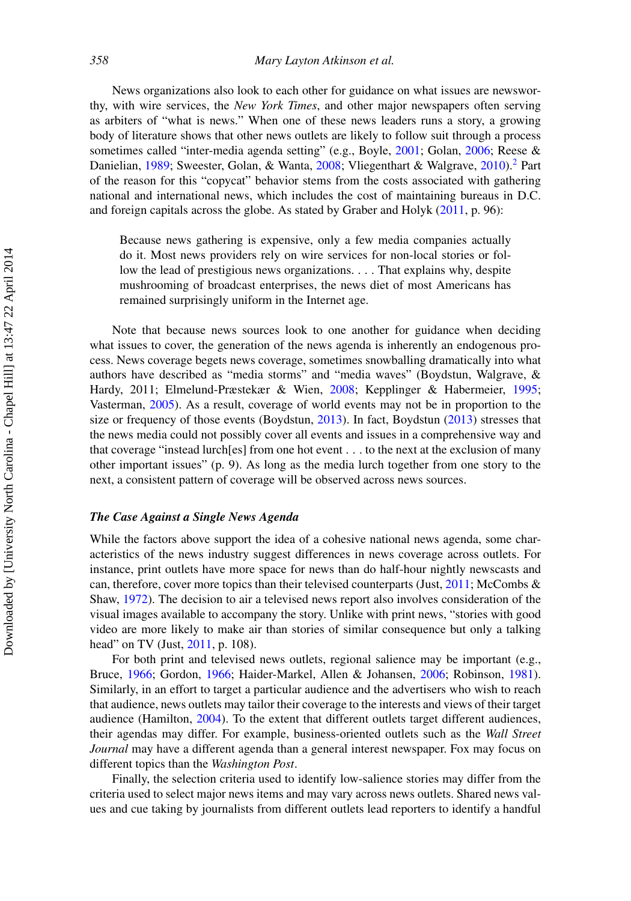News organizations also look to each other for guidance on what issues are newsworthy, with wire services, the *New York Times*, and other major newspapers often serving as arbiters of "what is news." When one of these news leaders runs a story, a growing body of literature shows that other news outlets are likely to follow suit through a process sometimes called "inter-media agenda setting" (e.g., Boyle, [2001;](#page-23-17) Golan, [2006;](#page-23-18) Reese & Danielian, [1989;](#page-24-17) Sweester, Golan, & Wanta, [2008;](#page-24-18) Vliegenthart & Walgrave, [2010\)](#page-24-10).<sup>[2](#page-22-2)</sup> Part of the reason for this "copycat" behavior stems from the costs associated with gathering national and international news, which includes the cost of maintaining bureaus in D.C. and foreign capitals across the globe. As stated by Graber and Holyk [\(2011,](#page-23-19) p. 96):

Because news gathering is expensive, only a few media companies actually do it. Most news providers rely on wire services for non-local stories or follow the lead of prestigious news organizations. *...* That explains why, despite mushrooming of broadcast enterprises, the news diet of most Americans has remained surprisingly uniform in the Internet age.

Note that because news sources look to one another for guidance when deciding what issues to cover, the generation of the news agenda is inherently an endogenous process. News coverage begets news coverage, sometimes snowballing dramatically into what authors have described as "media storms" and "media waves" (Boydstun, Walgrave, & Hardy, 2011; Elmelund-Præstekær & Wien, [2008;](#page-23-20) Kepplinger & Habermeier, [1995;](#page-24-19) Vasterman, [2005\)](#page-24-20). As a result, coverage of world events may not be in proportion to the size or frequency of those events (Boydstun, [2013\)](#page-23-5). In fact, Boydstun [\(2013\)](#page-23-5) stresses that the news media could not possibly cover all events and issues in a comprehensive way and that coverage "instead lurch[es] from one hot event *...* to the next at the exclusion of many other important issues" (p. 9). As long as the media lurch together from one story to the next, a consistent pattern of coverage will be observed across news sources.

#### *The Case Against a Single News Agenda*

While the factors above support the idea of a cohesive national news agenda, some characteristics of the news industry suggest differences in news coverage across outlets. For instance, print outlets have more space for news than do half-hour nightly newscasts and can, therefore, cover more topics than their televised counterparts (Just, [2011;](#page-23-16) McCombs & Shaw, [1972\)](#page-24-9). The decision to air a televised news report also involves consideration of the visual images available to accompany the story. Unlike with print news, "stories with good video are more likely to make air than stories of similar consequence but only a talking head" on TV (Just, [2011,](#page-23-16) p. 108).

For both print and televised news outlets, regional salience may be important (e.g., Bruce, [1966;](#page-23-21) Gordon, [1966;](#page-23-22) Haider-Markel, Allen & Johansen, [2006;](#page-23-23) Robinson, [1981\)](#page-24-21). Similarly, in an effort to target a particular audience and the advertisers who wish to reach that audience, news outlets may tailor their coverage to the interests and views of their target audience (Hamilton, [2004\)](#page-23-13). To the extent that different outlets target different audiences, their agendas may differ. For example, business-oriented outlets such as the *Wall Street Journal* may have a different agenda than a general interest newspaper. Fox may focus on different topics than the *Washington Post*.

Finally, the selection criteria used to identify low-salience stories may differ from the criteria used to select major news items and may vary across news outlets. Shared news values and cue taking by journalists from different outlets lead reporters to identify a handful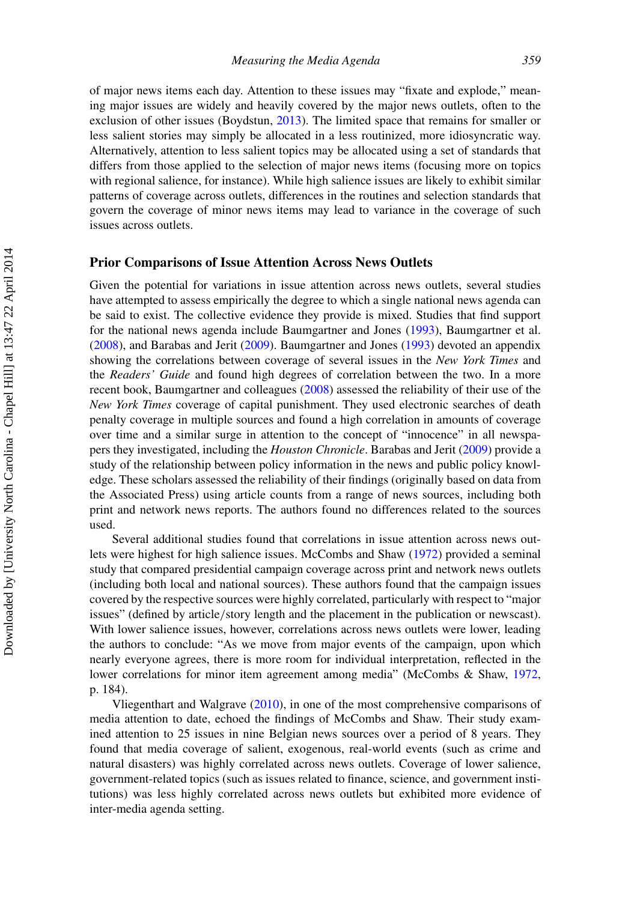of major news items each day. Attention to these issues may "fixate and explode," meaning major issues are widely and heavily covered by the major news outlets, often to the exclusion of other issues (Boydstun, [2013\)](#page-23-5). The limited space that remains for smaller or less salient stories may simply be allocated in a less routinized, more idiosyncratic way. Alternatively, attention to less salient topics may be allocated using a set of standards that differs from those applied to the selection of major news items (focusing more on topics with regional salience, for instance). While high salience issues are likely to exhibit similar patterns of coverage across outlets, differences in the routines and selection standards that govern the coverage of minor news items may lead to variance in the coverage of such issues across outlets.

### **Prior Comparisons of Issue Attention Across News Outlets**

Given the potential for variations in issue attention across news outlets, several studies have attempted to assess empirically the degree to which a single national news agenda can be said to exist. The collective evidence they provide is mixed. Studies that find support for the national news agenda include Baumgartner and Jones [\(1993\)](#page-23-4), Baumgartner et al. [\(2008\)](#page-23-3), and Barabas and Jerit [\(2009\)](#page-23-0). Baumgartner and Jones [\(1993\)](#page-23-4) devoted an appendix showing the correlations between coverage of several issues in the *New York Times* and the *Readers' Guide* and found high degrees of correlation between the two. In a more recent book, Baumgartner and colleagues [\(2008\)](#page-23-3) assessed the reliability of their use of the *New York Times* coverage of capital punishment. They used electronic searches of death penalty coverage in multiple sources and found a high correlation in amounts of coverage over time and a similar surge in attention to the concept of "innocence" in all newspapers they investigated, including the *Houston Chronicle*. Barabas and Jerit [\(2009\)](#page-23-0) provide a study of the relationship between policy information in the news and public policy knowledge. These scholars assessed the reliability of their findings (originally based on data from the Associated Press) using article counts from a range of news sources, including both print and network news reports. The authors found no differences related to the sources used.

Several additional studies found that correlations in issue attention across news outlets were highest for high salience issues. McCombs and Shaw [\(1972\)](#page-24-9) provided a seminal study that compared presidential campaign coverage across print and network news outlets (including both local and national sources). These authors found that the campaign issues covered by the respective sources were highly correlated, particularly with respect to "major issues" (defined by article*/*story length and the placement in the publication or newscast). With lower salience issues, however, correlations across news outlets were lower, leading the authors to conclude: "As we move from major events of the campaign, upon which nearly everyone agrees, there is more room for individual interpretation, reflected in the lower correlations for minor item agreement among media" (McCombs & Shaw, [1972,](#page-24-9) p. 184).

Vliegenthart and Walgrave [\(2010\)](#page-24-10), in one of the most comprehensive comparisons of media attention to date, echoed the findings of McCombs and Shaw. Their study examined attention to 25 issues in nine Belgian news sources over a period of 8 years. They found that media coverage of salient, exogenous, real-world events (such as crime and natural disasters) was highly correlated across news outlets. Coverage of lower salience, government-related topics (such as issues related to finance, science, and government institutions) was less highly correlated across news outlets but exhibited more evidence of inter-media agenda setting.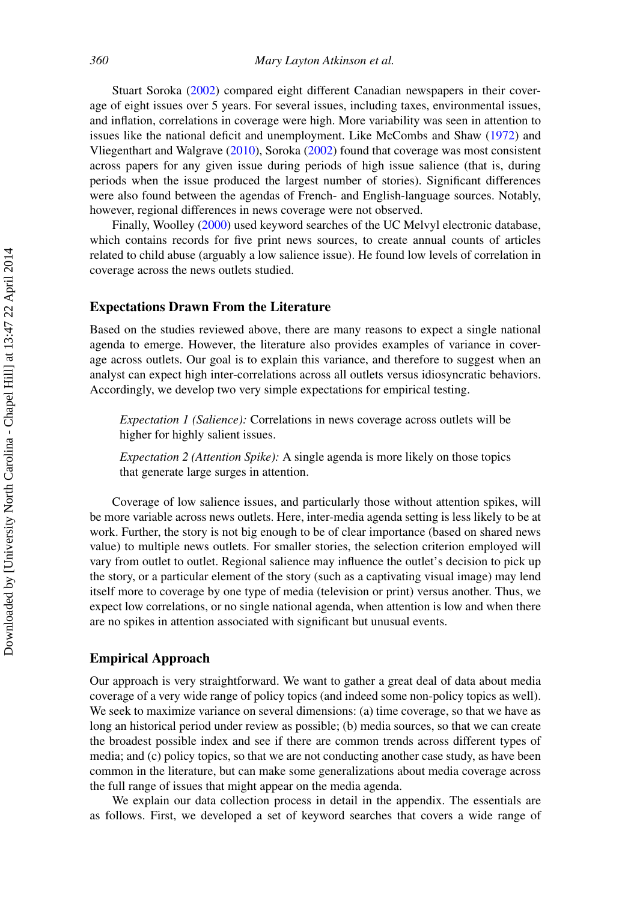Stuart Soroka [\(2002\)](#page-24-3) compared eight different Canadian newspapers in their coverage of eight issues over 5 years. For several issues, including taxes, environmental issues, and inflation, correlations in coverage were high. More variability was seen in attention to issues like the national deficit and unemployment. Like McCombs and Shaw [\(1972\)](#page-24-9) and Vliegenthart and Walgrave [\(2010\)](#page-24-10), Soroka [\(2002\)](#page-24-3) found that coverage was most consistent across papers for any given issue during periods of high issue salience (that is, during periods when the issue produced the largest number of stories). Significant differences were also found between the agendas of French- and English-language sources. Notably, however, regional differences in news coverage were not observed.

Finally, Woolley [\(2000\)](#page-24-12) used keyword searches of the UC Melvyl electronic database, which contains records for five print news sources, to create annual counts of articles related to child abuse (arguably a low salience issue). He found low levels of correlation in coverage across the news outlets studied.

#### **Expectations Drawn From the Literature**

Based on the studies reviewed above, there are many reasons to expect a single national agenda to emerge. However, the literature also provides examples of variance in coverage across outlets. Our goal is to explain this variance, and therefore to suggest when an analyst can expect high inter-correlations across all outlets versus idiosyncratic behaviors. Accordingly, we develop two very simple expectations for empirical testing.

*Expectation 1 (Salience):* Correlations in news coverage across outlets will be higher for highly salient issues.

*Expectation 2 (Attention Spike):* A single agenda is more likely on those topics that generate large surges in attention.

Coverage of low salience issues, and particularly those without attention spikes, will be more variable across news outlets. Here, inter-media agenda setting is less likely to be at work. Further, the story is not big enough to be of clear importance (based on shared news value) to multiple news outlets. For smaller stories, the selection criterion employed will vary from outlet to outlet. Regional salience may influence the outlet's decision to pick up the story, or a particular element of the story (such as a captivating visual image) may lend itself more to coverage by one type of media (television or print) versus another. Thus, we expect low correlations, or no single national agenda, when attention is low and when there are no spikes in attention associated with significant but unusual events.

#### **Empirical Approach**

Our approach is very straightforward. We want to gather a great deal of data about media coverage of a very wide range of policy topics (and indeed some non-policy topics as well). We seek to maximize variance on several dimensions: (a) time coverage, so that we have as long an historical period under review as possible; (b) media sources, so that we can create the broadest possible index and see if there are common trends across different types of media; and (c) policy topics, so that we are not conducting another case study, as have been common in the literature, but can make some generalizations about media coverage across the full range of issues that might appear on the media agenda.

We explain our data collection process in detail in the appendix. The essentials are as follows. First, we developed a set of keyword searches that covers a wide range of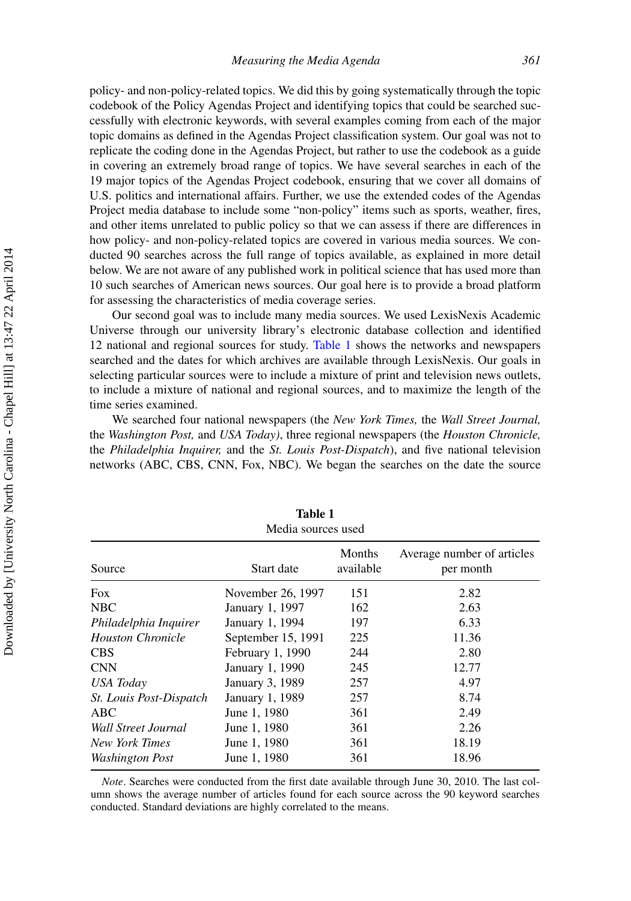policy- and non-policy-related topics. We did this by going systematically through the topic codebook of the Policy Agendas Project and identifying topics that could be searched successfully with electronic keywords, with several examples coming from each of the major topic domains as defined in the Agendas Project classification system. Our goal was not to replicate the coding done in the Agendas Project, but rather to use the codebook as a guide in covering an extremely broad range of topics. We have several searches in each of the 19 major topics of the Agendas Project codebook, ensuring that we cover all domains of U.S. politics and international affairs. Further, we use the extended codes of the Agendas Project media database to include some "non-policy" items such as sports, weather, fires, and other items unrelated to public policy so that we can assess if there are differences in how policy- and non-policy-related topics are covered in various media sources. We conducted 90 searches across the full range of topics available, as explained in more detail below. We are not aware of any published work in political science that has used more than 10 such searches of American news sources. Our goal here is to provide a broad platform for assessing the characteristics of media coverage series.

Our second goal was to include many media sources. We used LexisNexis Academic Universe through our university library's electronic database collection and identified 12 national and regional sources for study. [Table 1](#page-7-0) shows the networks and newspapers searched and the dates for which archives are available through LexisNexis. Our goals in selecting particular sources were to include a mixture of print and television news outlets, to include a mixture of national and regional sources, and to maximize the length of the time series examined.

We searched four national newspapers (the *New York Times,* the *Wall Street Journal,* the *Washington Post,* and *USA Today)*, three regional newspapers (the *Houston Chronicle,* the *Philadelphia Inquirer,* and the *St. Louis Post-Dispatch*), and five national television networks (ABC, CBS, CNN, Fox, NBC). We began the searches on the date the source

|                                | Media sources used |                     |                                         |
|--------------------------------|--------------------|---------------------|-----------------------------------------|
| Source                         | Start date         | Months<br>available | Average number of articles<br>per month |
| <b>Fox</b>                     | November 26, 1997  | 151                 | 2.82                                    |
| <b>NBC</b>                     | January 1, 1997    | 162                 | 2.63                                    |
| Philadelphia Inquirer          | January 1, 1994    | 197                 | 6.33                                    |
| <b>Houston Chronicle</b>       | September 15, 1991 | 225                 | 11.36                                   |
| <b>CBS</b>                     | February 1, 1990   | 244                 | 2.80                                    |
| <b>CNN</b>                     | January 1, 1990    | 245                 | 12.77                                   |
| USA Today                      | January 3, 1989    | 257                 | 4.97                                    |
| <i>St. Louis Post-Dispatch</i> | January 1, 1989    | 257                 | 8.74                                    |
| ABC.                           | June 1, 1980       | 361                 | 2.49                                    |
| Wall Street Journal            | June 1, 1980       | 361                 | 2.26                                    |
| New York Times                 | June 1, 1980       | 361                 | 18.19                                   |
| Washington Post                | June 1, 1980       | 361                 | 18.96                                   |

<span id="page-7-0"></span>

| <b>Table 1</b>    |  |
|-------------------|--|
| Madia courage use |  |

*Note*. Searches were conducted from the first date available through June 30, 2010. The last column shows the average number of articles found for each source across the 90 keyword searches conducted. Standard deviations are highly correlated to the means.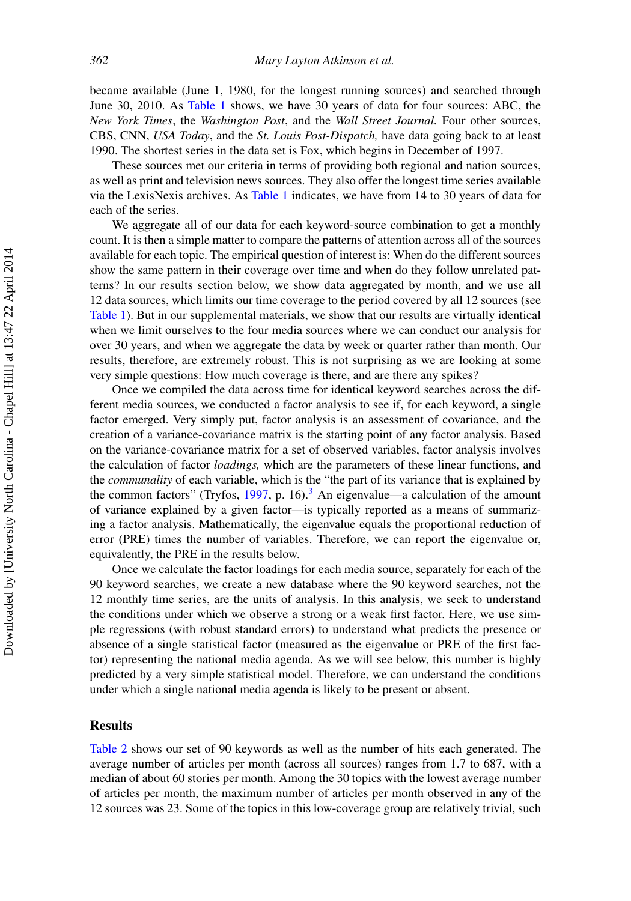became available (June 1, 1980, for the longest running sources) and searched through June 30, 2010. As [Table 1](#page-7-0) shows, we have 30 years of data for four sources: ABC, the *New York Times*, the *Washington Post*, and the *Wall Street Journal.* Four other sources, CBS, CNN, *USA Today*, and the *St. Louis Post-Dispatch,* have data going back to at least 1990. The shortest series in the data set is Fox, which begins in December of 1997.

These sources met our criteria in terms of providing both regional and nation sources, as well as print and television news sources. They also offer the longest time series available via the LexisNexis archives. As [Table 1](#page-7-0) indicates, we have from 14 to 30 years of data for each of the series.

We aggregate all of our data for each keyword-source combination to get a monthly count. It is then a simple matter to compare the patterns of attention across all of the sources available for each topic. The empirical question of interest is: When do the different sources show the same pattern in their coverage over time and when do they follow unrelated patterns? In our results section below, we show data aggregated by month, and we use all 12 data sources, which limits our time coverage to the period covered by all 12 sources (see [Table 1\)](#page-7-0). But in our supplemental materials, we show that our results are virtually identical when we limit ourselves to the four media sources where we can conduct our analysis for over 30 years, and when we aggregate the data by week or quarter rather than month. Our results, therefore, are extremely robust. This is not surprising as we are looking at some very simple questions: How much coverage is there, and are there any spikes?

Once we compiled the data across time for identical keyword searches across the different media sources, we conducted a factor analysis to see if, for each keyword, a single factor emerged. Very simply put, factor analysis is an assessment of covariance, and the creation of a variance-covariance matrix is the starting point of any factor analysis. Based on the variance-covariance matrix for a set of observed variables, factor analysis involves the calculation of factor *loadings,* which are the parameters of these linear functions, and the *communality* of each variable, which is the "the part of its variance that is explained by the common factors" (Tryfos,  $1997$ , p. 16).<sup>[3](#page-22-3)</sup> An eigenvalue—a calculation of the amount of variance explained by a given factor—is typically reported as a means of summarizing a factor analysis. Mathematically, the eigenvalue equals the proportional reduction of error (PRE) times the number of variables. Therefore, we can report the eigenvalue or, equivalently, the PRE in the results below.

Once we calculate the factor loadings for each media source, separately for each of the 90 keyword searches, we create a new database where the 90 keyword searches, not the 12 monthly time series, are the units of analysis. In this analysis, we seek to understand the conditions under which we observe a strong or a weak first factor. Here, we use simple regressions (with robust standard errors) to understand what predicts the presence or absence of a single statistical factor (measured as the eigenvalue or PRE of the first factor) representing the national media agenda. As we will see below, this number is highly predicted by a very simple statistical model. Therefore, we can understand the conditions under which a single national media agenda is likely to be present or absent.

#### **Results**

[Table 2](#page-9-0) shows our set of 90 keywords as well as the number of hits each generated. The average number of articles per month (across all sources) ranges from 1.7 to 687, with a median of about 60 stories per month. Among the 30 topics with the lowest average number of articles per month, the maximum number of articles per month observed in any of the 12 sources was 23. Some of the topics in this low-coverage group are relatively trivial, such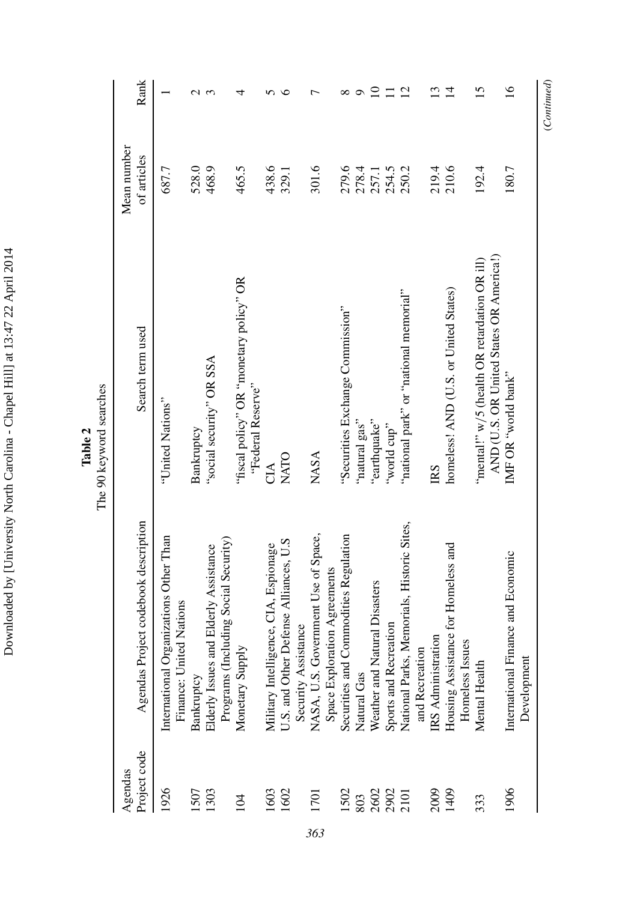Downloaded by [University North Carolina - Chapel Hill] at 13:47 22 April 2014 Downloaded by [University North Carolina - Chapel Hill] at 13:47 22 April 2014

| Project code<br>Agendas | Agendas Project codebook description                              | Search term used                               | Mean number<br>of articles | Rank            |
|-------------------------|-------------------------------------------------------------------|------------------------------------------------|----------------------------|-----------------|
| 1926                    | International Organizations Other Than<br>Finance: United Nations | "United Nations"                               | 687.7                      |                 |
| 1507                    | Bankruptcy                                                        | Bankruptcy                                     | 528.0                      | $\mathcal{C}$   |
| 1303                    | Elderly Assistance<br>Elderly Issues and                          | "social security" OR SSA                       | 468.9                      | 3               |
| 104                     | Programs (Including Social Security)                              | "fiscal policy" OR "monetary policy" OR        | 465.5                      | 4               |
|                         | Monetary Supply                                                   | "Federal Reserve"                              |                            |                 |
| 1603                    | Military Intelligence, CIA, Espionage                             | СIА                                            | 438.6                      | n               |
| 1602                    | U.S. and Other Defense Alliances, U.S.                            | NATO                                           | 329.1                      | ७               |
|                         | Security Assistance                                               |                                                |                            |                 |
| 1701                    | NASA, U.S. Government Use of Space,                               | <b>NASA</b>                                    | 301.6                      |                 |
|                         | Space Exploration Agreements                                      |                                                |                            |                 |
| 1502                    | Securities and Commodities Regulation                             | "Securities Exchange Commission"               | 279.6                      | ∞               |
| 803                     | Natural Gas                                                       | "natural gas"                                  | 278.4                      |                 |
| 2602<br>2902<br>2101    | Weather and Natural Disasters                                     | "earthquake"                                   | 257.1                      | $\overline{10}$ |
|                         | Sports and Recreation                                             | "world cup"                                    | 254.5                      | $\Xi$           |
|                         | National Parks, Memorials, Historic Sites,                        | "national park" or "national memorial"         | 250.2                      | $\overline{c}$  |
|                         | and Recreation                                                    |                                                |                            |                 |
| 2009                    | IRS Administration                                                | <b>IRS</b>                                     | 219.4                      | 13              |
| 1409                    | Housing Assistance for Homeless and<br>Homeless Issues            | homeless! AND (U.S. or United States)          | 210.6                      | $\overline{4}$  |
| 333                     | Mental Health                                                     | "mental!" $w/5$ (health OR retardation OR ill) | 192.4                      | 15              |
|                         |                                                                   | AND (U.S. OR United States OR America!)        |                            |                 |
| 1906                    | ce and Economic<br>International Finan                            | IMF OR "world bank"                            | 180.7                      | $\overline{16}$ |
|                         | Development                                                       |                                                |                            |                 |

**The 90 keyword searches** The 90 keyword searches

<span id="page-9-0"></span> $(Continued) % \begin{minipage}[b]{0.5\linewidth} \centering \centerline{\includegraphics[width=0.5\linewidth]{images/STM100020.jpg} \centerline{\includegraphics[width=0.5\linewidth]{images/STM100020.jpg} \centerline{\includegraphics[width=0.5\linewidth]{images/STM100020.jpg} \centerline{\includegraphics[width=0.5\linewidth]{images/STM100020.jpg} \centerline{\includegraphics[width=0.5\linewidth]{images/STM100020.jpg} \centerline{\includegraphics[width=0.5\linewidth]{images/STM100020.jpg} \centerline{\includegraphics[width=0.5\linewidth]{images/STM100020.jpg} \centerline{\includegraphics[width$ (*Continued*)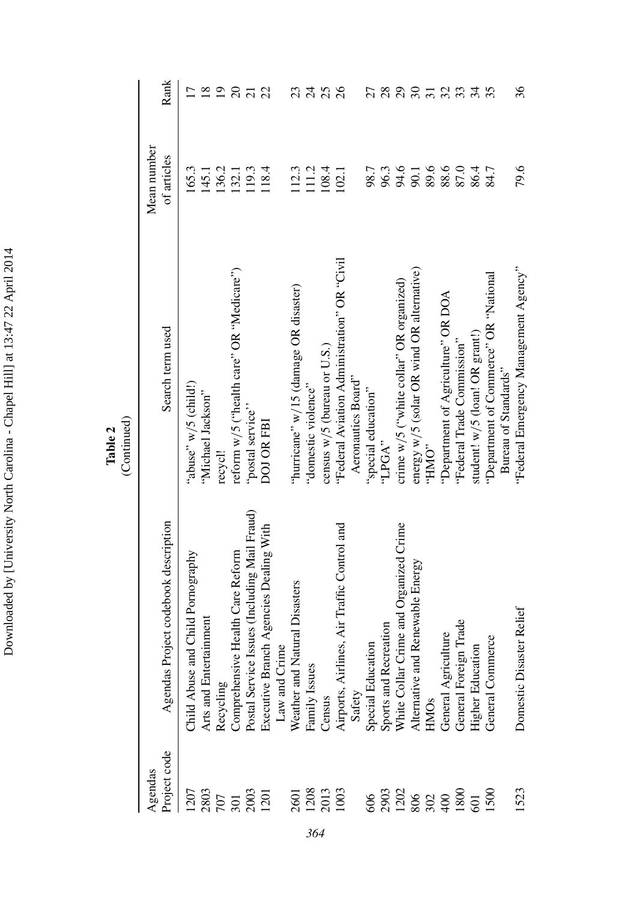| l                    |
|----------------------|
|                      |
|                      |
|                      |
| $\ddot{\phantom{a}}$ |
|                      |
|                      |
|                      |
|                      |
|                      |
|                      |
|                      |
|                      |
|                      |
| ı                    |
|                      |
|                      |
| I                    |
|                      |
| i                    |
| i                    |
|                      |
|                      |
|                      |
|                      |
|                      |
|                      |
|                      |
|                      |
|                      |
|                      |
|                      |
| l                    |
|                      |
|                      |
|                      |
|                      |
|                      |
| í                    |
|                      |
|                      |
|                      |
|                      |
|                      |
|                      |
|                      |
|                      |
|                      |
|                      |
|                      |
|                      |
|                      |
|                      |
|                      |
|                      |
| ļ                    |

**Table 2**<br>(Continued) (Continued)

| Project code<br>Agendas                  | Agendas Project codebook description         | Search term used                            | Mean number<br>of articles | Rank                        |
|------------------------------------------|----------------------------------------------|---------------------------------------------|----------------------------|-----------------------------|
| 1207                                     | Child Abuse and Child Pornography            | "abuse" $w/5$ (child!)                      | 165.3                      | $\overline{C}$              |
| 2803                                     | Arts and Entertainment                       | "Michael Jackson"                           | 145.1                      | $\overline{18}$             |
|                                          | Recycling                                    | recycl!                                     | 136.2                      | $\overline{0}$              |
|                                          | Comprehensive Health Care Reform             | reform w/5 ("health care" OR "Medicare")    | 132.1                      | $\Omega$                    |
| $\frac{707}{301}$<br>$\frac{2003}{1201}$ | Postal Service Issues (Including Mail Fraud) | "postal service"                            | 119.3                      | $\overline{c}$              |
|                                          | Executive Branch Agencies Dealing With       | DOJ OR FBI                                  | 118.4                      | 22                          |
|                                          | Law and Crime                                |                                             |                            |                             |
| 2601                                     | Disasters<br>Weather and Natural             | "hurricane" w/15 (damage OR disaster)       | 112.3                      | 23                          |
| 1208                                     | Family Issues                                | "domestic violence"                         | 111.2                      | $\mathcal{Z}$               |
| 2013<br>1003                             | Census                                       | census w/5 (bureau or U.S.)                 | 108.4                      | 25                          |
|                                          | Airports, Airlines, Air Traffic Control and  | "Federal Aviation Administration" OR "Civil | 102.1                      | $\delta$                    |
|                                          | Safety                                       | Aeronautics Board"                          |                            |                             |
| 606                                      | Special Education                            | "special education"                         | 98.7                       |                             |
|                                          | Sports and Recreation                        | "LPGA"                                      | 96.3                       | 28                          |
| 2022<br>2022<br>2023<br>2020             | White Collar Crime and Organized Crime       | crime w/5 ("white collar" OR organized)     | 94.6<br>90.1               | $\mathcal{L}^{\mathcal{O}}$ |
|                                          | Alternative and Renewable Energy             | energy w/5 (solar OR wind OR alternative)   |                            | $\mathfrak{S}$              |
|                                          | HMOs                                         | "HMO"                                       | 89.6                       | $\frac{3}{2}$               |
|                                          | General Agriculture                          | "Department of Agriculture" OR DOA          | 88.6                       |                             |
|                                          | ಕೆ<br>General Foreign Tra                    | "Federal Trade Commission"                  | 87.0                       | 33                          |
|                                          | <b>Higher Education</b>                      | student! w/5 (loan! OR grant!)              | 86.4                       | $\mathcal{L}$               |
| 1500                                     | General Commerce                             | "Department of Commerce" OR "National       | 84.7                       | 35                          |
|                                          |                                              | Bureau of Standards"                        |                            |                             |
| 1523                                     | Domestic Disaster Relief                     | "Federal Emergency Management Agency"       | 79.6                       | 36                          |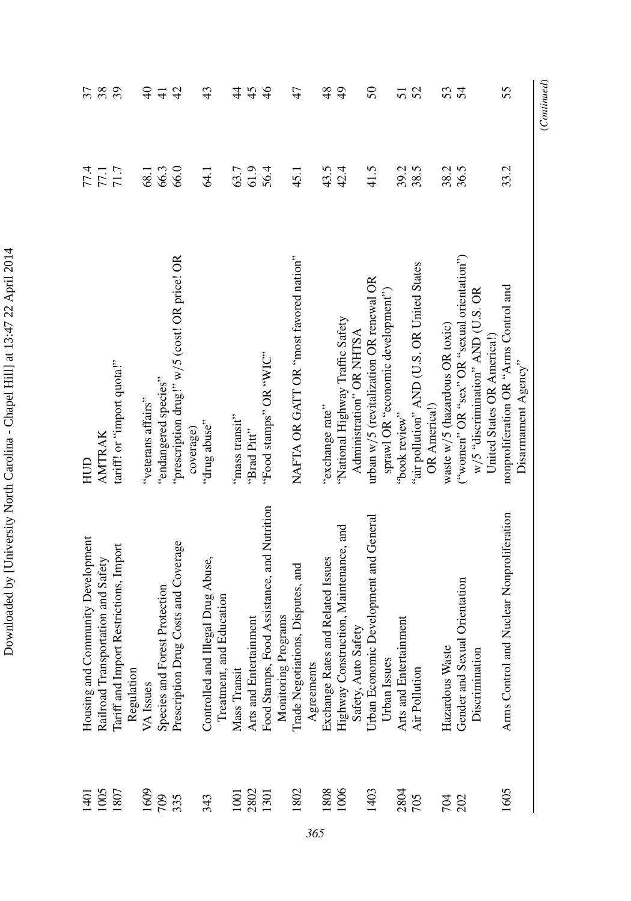| l                                                                                           |
|---------------------------------------------------------------------------------------------|
|                                                                                             |
| l                                                                                           |
| $\mathbf{i}$                                                                                |
| くりいく                                                                                        |
| l                                                                                           |
|                                                                                             |
| <br>١                                                                                       |
| ׇ֚                                                                                          |
| l                                                                                           |
| ֖֖֖֧ׅ֧֖֧ׅ֖֧֖֧֖֧֧֪֧֪֧֪ׅ֪֪֧֪ׅ֪֪֧֧֚֚֚֚֚֚֚֚֚֚֚֚֚֚֚֚֚֚֚֚֚֚֚֚֚֚֚֚֚֚֚֚֚֚֚֡֝֝֬֝֬֝֬֝֬֝֬֝֬֝֬֝֬֝֬<br>i |
| Ï<br>ı                                                                                      |
|                                                                                             |
| )<br>I                                                                                      |
| ĺ                                                                                           |
|                                                                                             |
|                                                                                             |
| l                                                                                           |
|                                                                                             |
| $\frac{1}{2}$                                                                               |
|                                                                                             |
|                                                                                             |
|                                                                                             |
|                                                                                             |
|                                                                                             |
|                                                                                             |

*365*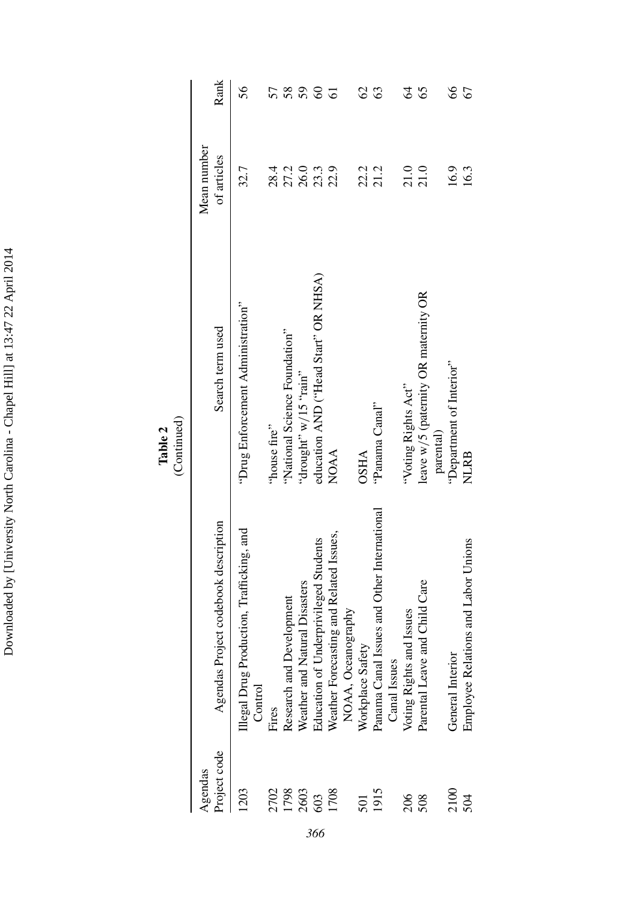| $\ddot{\phantom{0}}$                                                                                                                                          |
|---------------------------------------------------------------------------------------------------------------------------------------------------------------|
|                                                                                                                                                               |
|                                                                                                                                                               |
| í                                                                                                                                                             |
| -<br>-<br>-<br>-                                                                                                                                              |
|                                                                                                                                                               |
|                                                                                                                                                               |
|                                                                                                                                                               |
|                                                                                                                                                               |
|                                                                                                                                                               |
| $\frac{1}{2}$ , $\frac{1}{2}$ , $\frac{1}{2}$ , $\frac{1}{2}$ , $\frac{1}{2}$ , $\frac{1}{2}$ , $\frac{1}{2}$ , $\frac{1}{2}$ , $\frac{1}{2}$ , $\frac{1}{2}$ |
|                                                                                                                                                               |
|                                                                                                                                                               |
| ١                                                                                                                                                             |
| ׇ֚֕֡                                                                                                                                                          |
|                                                                                                                                                               |
|                                                                                                                                                               |
|                                                                                                                                                               |
| í.                                                                                                                                                            |
| י<br>ווי ה                                                                                                                                                    |
| i                                                                                                                                                             |
| Ï                                                                                                                                                             |
|                                                                                                                                                               |
|                                                                                                                                                               |
|                                                                                                                                                               |
|                                                                                                                                                               |
|                                                                                                                                                               |
|                                                                                                                                                               |
|                                                                                                                                                               |
|                                                                                                                                                               |
|                                                                                                                                                               |
|                                                                                                                                                               |
|                                                                                                                                                               |
|                                                                                                                                                               |
|                                                                                                                                                               |
|                                                                                                                                                               |
|                                                                                                                                                               |
|                                                                                                                                                               |
|                                                                                                                                                               |
|                                                                                                                                                               |
|                                                                                                                                                               |
|                                                                                                                                                               |
|                                                                                                                                                               |
|                                                                                                                                                               |
|                                                                                                                                                               |
|                                                                                                                                                               |
|                                                                                                                                                               |
|                                                                                                                                                               |
|                                                                                                                                                               |
|                                                                                                                                                               |
| ļ                                                                                                                                                             |
|                                                                                                                                                               |

| Project code<br>Agendas | Agendas Project codebook description                 | Search term used                     | Mean number<br>of articles | Rank           |
|-------------------------|------------------------------------------------------|--------------------------------------|----------------------------|----------------|
| 1203                    | Illegal Drug Production, Trafficking, and<br>Control | "Drug Enforcement Administration"    | 32.7                       | 56             |
| 2702                    | Fires                                                | 'house fire''                        | 28.4                       | 57             |
| 1798                    | Research and Development                             | "National Science Foundation"        |                            | 58             |
| 2603                    | Weather and Natural Disasters                        | "drought" $V = \frac{1}{2}$ " ain"   |                            | 59             |
| 603                     | Education of Underprivileged Students                | education AND ("Head Start" OR NHSA) | 27.2<br>26.0<br>22.3       | $\infty$       |
| 1708                    | Weather Forecasting and Related Issues,              | <b>NOAA</b>                          |                            | $\overline{6}$ |
|                         | NOAA, Oceanography                                   |                                      |                            |                |
| 501                     | Workplace Safety                                     | <b>OSHA</b>                          |                            | $\mathcal{S}$  |
| 1915                    | Panama Canal Issues and Other International          | "Panama Canal"                       | 22.2<br>21.2               | යි             |
|                         | Canal Issues                                         |                                      |                            |                |
| 206                     | Voting Rights and Issues                             | "Voting Rights Act"                  | $\frac{21.0}{21.0}$        | 2              |
| 508                     | Child Care<br>Parental Leave and                     | leave w/5 (paternity OR maternity OR |                            | 65             |
|                         |                                                      | parental)                            |                            |                |
| 2100                    | <b>General Interior</b>                              | "Department of Interior"             | 16.9                       | 89             |
| 504                     | Employee Relations and Labor Unions                  | <b>NLRB</b>                          | 16.3                       | 67             |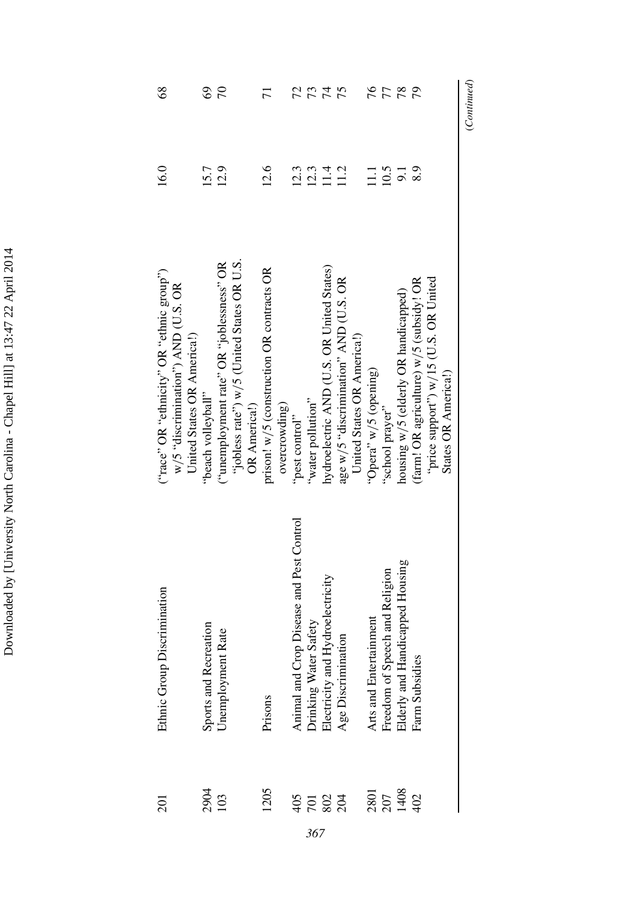| (Continued)                 |                  |                                                                  |                                          |
|-----------------------------|------------------|------------------------------------------------------------------|------------------------------------------|
|                             |                  | States OR America!)                                              |                                          |
|                             |                  | "price support") $w/15$ (U.S. OR United                          |                                          |
| 20                          | 8.9              | (farm! OR agriculture) w/5 (subsidy! OR                          | Farm Subsidies                           |
|                             | $\overline{5}$   | housing w/5 (elderly OR handicapped)                             | Elderly and Handicapped Housing          |
|                             |                  | "school prayer"                                                  | and Religion<br>Freedom of Speech        |
| 878                         | $11.1$<br>$10.5$ | "Opera" $w/5$ (opening)                                          | Arts and Entertainment                   |
|                             |                  | United States OR America!)                                       |                                          |
| 75                          |                  | age $w/5$ "discrimination" AND (U.S. OR                          | Age Discrimination                       |
| $\mu$                       | $11.4$<br>$11.2$ | hydroelectric AND (U.S. OR United States)                        | Electricity and Hydroelectricity         |
| 73                          | 12.3             | "water pollution"                                                | Drinking Water Safety                    |
| 72                          | 12.3             | "pest control"                                                   | Animal and Crop Disease and Pest Control |
|                             |                  | overcrowding)                                                    |                                          |
| $\overline{7}$              | 12.6             | prison! w/5 (construction OR contracts OR                        | Prisons                                  |
|                             |                  | OR America!)                                                     |                                          |
|                             |                  | "jobless rate") $w/5$ (United States OR U.S.                     |                                          |
| $\mathcal{L}$               | 12.9             | ("unemployment rate" OR "joblessness" OR                         | Unemployment Rate                        |
| $\mathcal{S}^{\mathcal{O}}$ | 15.7             | "beach volleyball"                                               | Sports and Recreation                    |
|                             |                  | w/5 "discrimination") AND (U.S. OR<br>United States OR America!) |                                          |
| $\frac{8}{3}$               | 16.0             | ("race" OR "ethnicity" OR "ethnic group")                        | Ethnic Group Discrimination              |

Downloaded by [University North Carolina - Chapel Hill] at 13:47 22 April 2014 Downloaded by [University North Carolina - Chapel Hill] at 13:47 22 April 2014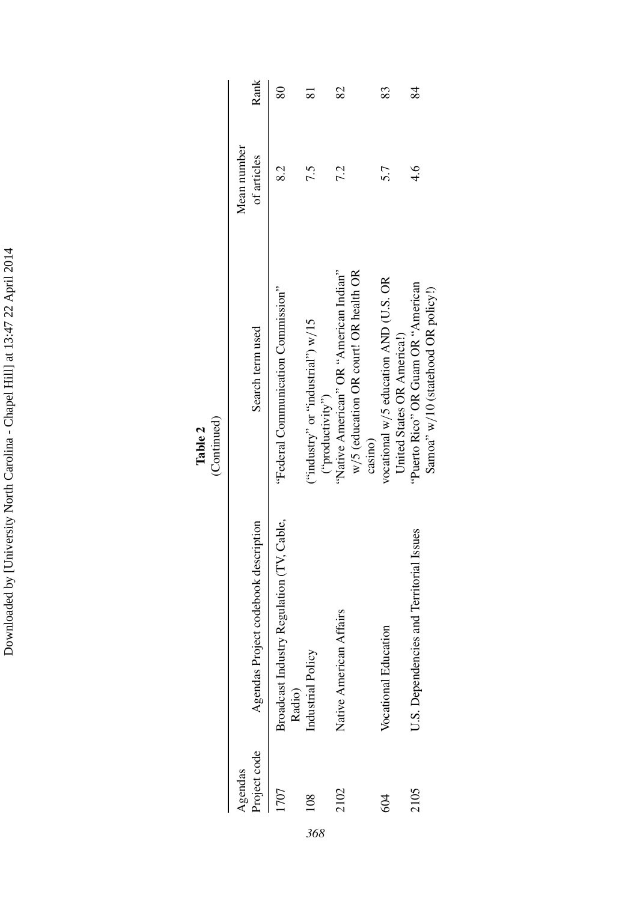Downloaded by [University North Carolina - Chapel Hill] at 13:47 22 April 2014 Downloaded by [University North Carolina - Chapel Hill] at 13:47 22 April 2014

**Table 2**<br>(Continued) (Continued)

|     | Project code<br>Agendas | Agendas Project codebook description                | Search term used                                                                           | Mean number<br>of articles | Rank           |
|-----|-------------------------|-----------------------------------------------------|--------------------------------------------------------------------------------------------|----------------------------|----------------|
|     | -707                    | Broadcast Industry Regulation (TV, Cable,<br>Radio) | "Federal Communication Commission"                                                         | 82                         | $\frac{80}{2}$ |
| 368 | $\frac{8}{10}$          | Industrial Policy                                   | $\binom{1}{1}$ w $\binom{1}{1}$ or "industrial") w/15<br>("productivity")                  |                            |                |
|     | 2102                    | Native American Affairs                             | "Native American" OR "American Indian"<br>w/5 (education OR court! OR health OR<br>casıno) | 7.2                        | 82             |
|     | 604                     | Vocational Education                                | vocational $w/5$ education AND (U.S. OR<br>United States OR America!)                      | 5.7                        | 83             |
|     | 2105                    | and Territorial Issues<br>U.S. Dependencies         | "Puerto Rico" OR Guam OR "American<br>Samoa" w/10 (statehood OR policy!)                   | $\frac{4}{6}$              | 84             |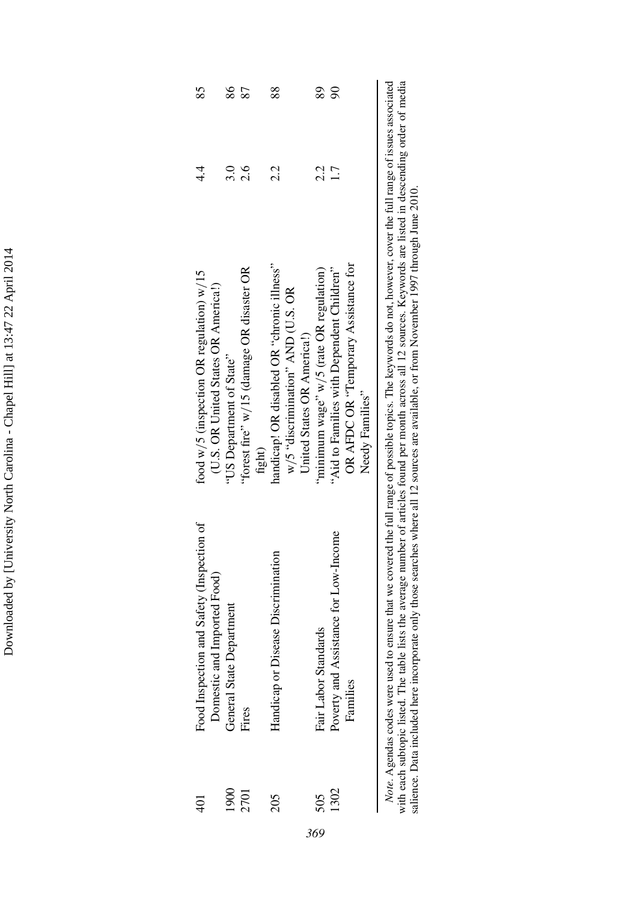| $\frac{1}{2}$                |
|------------------------------|
| í<br>l                       |
|                              |
|                              |
| l                            |
| י<br>ו                       |
|                              |
| $\frac{1}{2}$                |
|                              |
|                              |
|                              |
|                              |
| $T1111 \text{ } \alpha$<br>1 |
| ׇ֚                           |
|                              |
|                              |
| l<br>į                       |
| j                            |
|                              |
|                              |
|                              |
|                              |
|                              |
|                              |
|                              |
|                              |
|                              |
|                              |
|                              |
|                              |
|                              |
|                              |
|                              |
| $\ddot{\phantom{a}}$         |
|                              |
|                              |
|                              |
|                              |
|                              |
|                              |
|                              |
|                              |
| Ì<br>ļ                       |

|                                                                                     | 86                       |                                                    | 88                                                                                                              | 89                                     | R                                                                                                    |  |
|-------------------------------------------------------------------------------------|--------------------------|----------------------------------------------------|-----------------------------------------------------------------------------------------------------------------|----------------------------------------|------------------------------------------------------------------------------------------------------|--|
| त.<br>4                                                                             | 3.0                      | 2.6                                                | 2.2                                                                                                             | 2.2                                    | $\overline{\phantom{0}}$                                                                             |  |
| food $w/5$ (inspection OR regulation) $w/15$<br>(U.S. OR United States OR Americal) | US Department of State"  | forest fire" w/15 (damage OR disaster OR<br>fight) | handicap! OR disabled OR "chronic illness"<br>$w/5$ "discrimination" AND (U.S. OR<br>United States OR America!) | minimum wage" w/5 (rate OR regulation) | OR AFDC OR "Temporary Assistance for<br>"Aid to Families with Dependent Children"<br>Needy Families" |  |
| Food Inspection and Safety (Inspection of<br>Domestic and Imported Food)            | General State Department | Fires                                              | Handicap or Disease Discrimination                                                                              | Fair Labor Standards                   | Poverty and Assistance for Low-Income<br>Families                                                    |  |
| ₽<br>4                                                                              | 1900                     | 2701                                               | 205                                                                                                             | 505                                    | 1302                                                                                                 |  |

*369*

Note. Agendas codes were used to ensure that we covered the full range of possible topics. The keywords do not, however, cover the full range of issues associated with each subtopic listed. The table lists the average numb *Note*. Agendas codes were used to ensure that we covered the full range of possible topics. The keywords do not, however, cover the full range of issues associated with each subtopic listed. The table lists the average number of articles found per month across all 12 sources. Keywords are listed in descending order of media salience. Data included here incorporate only those searches where all 12 sources are available, or from November 1997 through June 2010.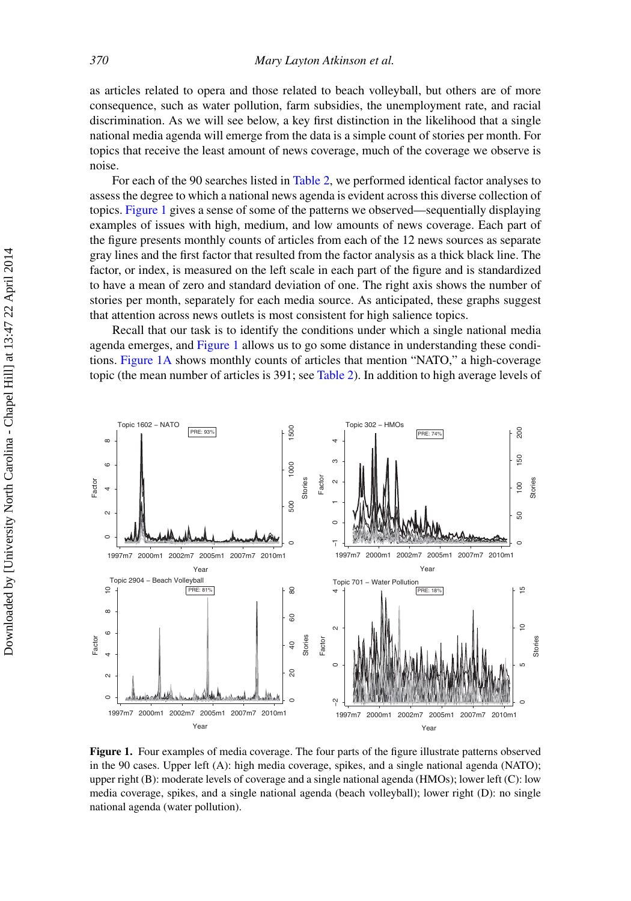as articles related to opera and those related to beach volleyball, but others are of more consequence, such as water pollution, farm subsidies, the unemployment rate, and racial discrimination. As we will see below, a key first distinction in the likelihood that a single national media agenda will emerge from the data is a simple count of stories per month. For topics that receive the least amount of news coverage, much of the coverage we observe is noise.

For each of the 90 searches listed in [Table 2,](#page-9-0) we performed identical factor analyses to assess the degree to which a national news agenda is evident across this diverse collection of topics. [Figure 1](#page-16-0) gives a sense of some of the patterns we observed—sequentially displaying examples of issues with high, medium, and low amounts of news coverage. Each part of the figure presents monthly counts of articles from each of the 12 news sources as separate gray lines and the first factor that resulted from the factor analysis as a thick black line. The factor, or index, is measured on the left scale in each part of the figure and is standardized to have a mean of zero and standard deviation of one. The right axis shows the number of stories per month, separately for each media source. As anticipated, these graphs suggest that attention across news outlets is most consistent for high salience topics.

Recall that our task is to identify the conditions under which a single national media agenda emerges, and [Figure 1](#page-16-0) allows us to go some distance in understanding these conditions. [Figure 1A](#page-16-0) shows monthly counts of articles that mention "NATO," a high-coverage topic (the mean number of articles is 391; see [Table 2\)](#page-9-0). In addition to high average levels of

<span id="page-16-0"></span>

**Figure 1.** Four examples of media coverage. The four parts of the figure illustrate patterns observed in the 90 cases. Upper left (A): high media coverage, spikes, and a single national agenda (NATO); upper right (B): moderate levels of coverage and a single national agenda (HMOs); lower left (C): low media coverage, spikes, and a single national agenda (beach volleyball); lower right (D): no single national agenda (water pollution).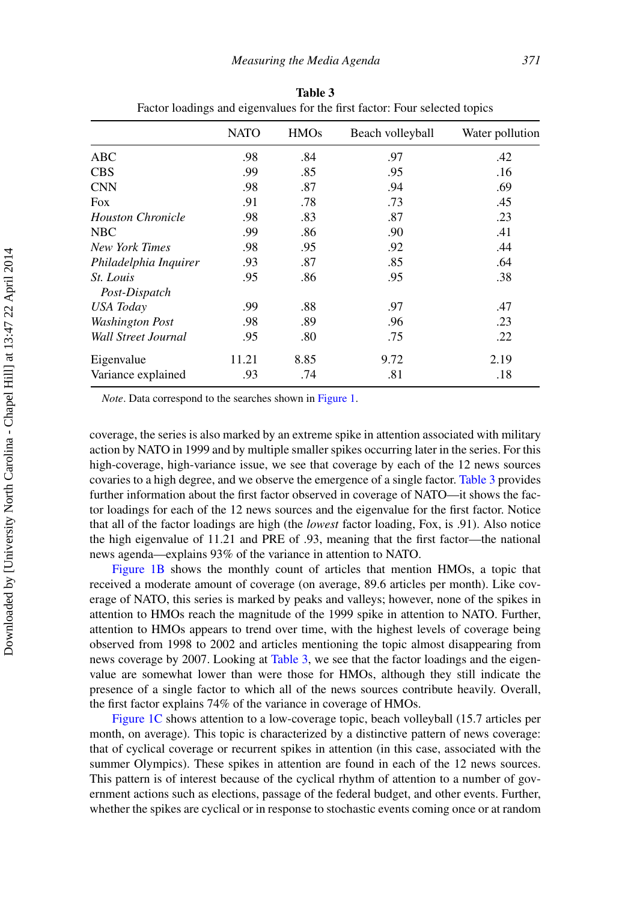|                                   | <b>NATO</b> | <b>HMOs</b> | Beach volleyball | Water pollution |
|-----------------------------------|-------------|-------------|------------------|-----------------|
| <b>ABC</b>                        | .98         | .84         | .97              | .42             |
| <b>CBS</b>                        | .99         | .85         | .95              | .16             |
| <b>CNN</b>                        | .98         | .87         | .94              | .69             |
| <b>Fox</b>                        | .91         | .78         | .73              | .45             |
| <b>Houston Chronicle</b>          | .98         | .83         | .87              | .23             |
| <b>NBC</b>                        | .99         | .86         | .90              | .41             |
| New York Times                    | .98         | .95         | .92              | .44             |
| Philadelphia Inquirer             | .93         | .87         | .85              | .64             |
| <i>St. Louis</i><br>Post-Dispatch | .95         | .86         | .95              | .38             |
| USA Today                         | .99         | .88         | .97              | .47             |
| <b>Washington Post</b>            | .98         | .89         | .96              | .23             |
| Wall Street Journal               | .95         | .80         | .75              | .22             |
| Eigenvalue                        | 11.21       | 8.85        | 9.72             | 2.19            |
| Variance explained                | .93         | .74         | .81              | .18             |

<span id="page-17-0"></span>**Table 3** Factor loadings and eigenvalues for the first factor: Four selected topics

*Note*. Data correspond to the searches shown in [Figure 1.](#page-16-0)

coverage, the series is also marked by an extreme spike in attention associated with military action by NATO in 1999 and by multiple smaller spikes occurring later in the series. For this high-coverage, high-variance issue, we see that coverage by each of the 12 news sources covaries to a high degree, and we observe the emergence of a single factor. [Table 3](#page-17-0) provides further information about the first factor observed in coverage of NATO—it shows the factor loadings for each of the 12 news sources and the eigenvalue for the first factor. Notice that all of the factor loadings are high (the *lowest* factor loading, Fox, is .91). Also notice the high eigenvalue of 11.21 and PRE of .93, meaning that the first factor—the national news agenda—explains 93% of the variance in attention to NATO.

[Figure 1B](#page-16-0) shows the monthly count of articles that mention HMOs, a topic that received a moderate amount of coverage (on average, 89.6 articles per month). Like coverage of NATO, this series is marked by peaks and valleys; however, none of the spikes in attention to HMOs reach the magnitude of the 1999 spike in attention to NATO. Further, attention to HMOs appears to trend over time, with the highest levels of coverage being observed from 1998 to 2002 and articles mentioning the topic almost disappearing from news coverage by 2007. Looking at [Table 3,](#page-17-0) we see that the factor loadings and the eigenvalue are somewhat lower than were those for HMOs, although they still indicate the presence of a single factor to which all of the news sources contribute heavily. Overall, the first factor explains 74% of the variance in coverage of HMOs.

[Figure 1C](#page-16-0) shows attention to a low-coverage topic, beach volleyball (15.7 articles per month, on average). This topic is characterized by a distinctive pattern of news coverage: that of cyclical coverage or recurrent spikes in attention (in this case, associated with the summer Olympics). These spikes in attention are found in each of the 12 news sources. This pattern is of interest because of the cyclical rhythm of attention to a number of government actions such as elections, passage of the federal budget, and other events. Further, whether the spikes are cyclical or in response to stochastic events coming once or at random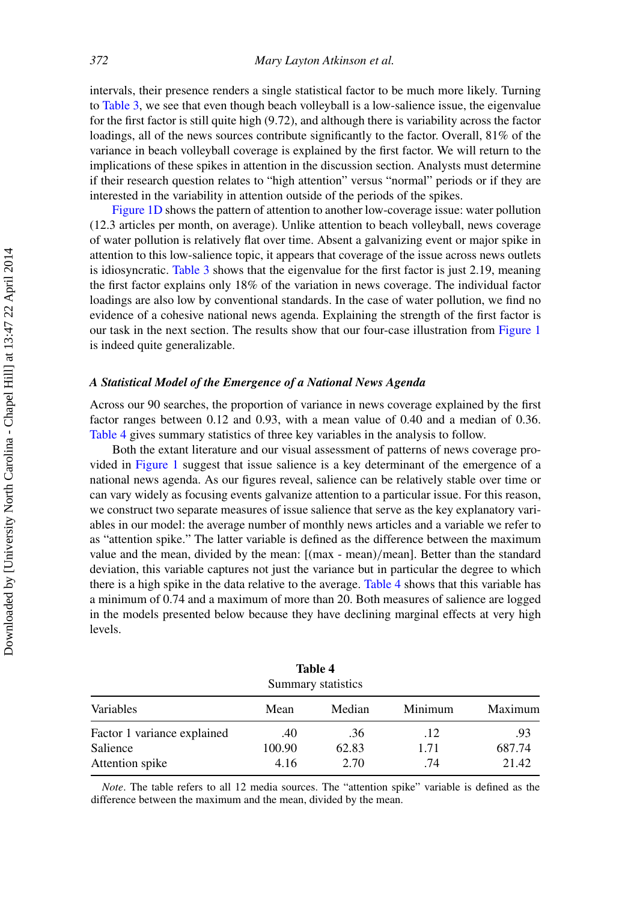intervals, their presence renders a single statistical factor to be much more likely. Turning to [Table 3,](#page-17-0) we see that even though beach volleyball is a low-salience issue, the eigenvalue for the first factor is still quite high (9.72), and although there is variability across the factor loadings, all of the news sources contribute significantly to the factor. Overall,  $81\%$  of the variance in beach volleyball coverage is explained by the first factor. We will return to the implications of these spikes in attention in the discussion section. Analysts must determine if their research question relates to "high attention" versus "normal" periods or if they are interested in the variability in attention outside of the periods of the spikes.

[Figure 1D](#page-16-0) shows the pattern of attention to another low-coverage issue: water pollution (12.3 articles per month, on average). Unlike attention to beach volleyball, news coverage of water pollution is relatively flat over time. Absent a galvanizing event or major spike in attention to this low-salience topic, it appears that coverage of the issue across news outlets is idiosyncratic. [Table 3](#page-17-0) shows that the eigenvalue for the first factor is just 2.19, meaning the first factor explains only 18% of the variation in news coverage. The individual factor loadings are also low by conventional standards. In the case of water pollution, we find no evidence of a cohesive national news agenda. Explaining the strength of the first factor is our task in the next section. The results show that our four-case illustration from [Figure 1](#page-16-0) is indeed quite generalizable.

#### *A Statistical Model of the Emergence of a National News Agenda*

Across our 90 searches, the proportion of variance in news coverage explained by the first factor ranges between 0.12 and 0.93, with a mean value of 0.40 and a median of 0.36. [Table 4](#page-18-0) gives summary statistics of three key variables in the analysis to follow.

Both the extant literature and our visual assessment of patterns of news coverage provided in [Figure 1](#page-16-0) suggest that issue salience is a key determinant of the emergence of a national news agenda. As our figures reveal, salience can be relatively stable over time or can vary widely as focusing events galvanize attention to a particular issue. For this reason, we construct two separate measures of issue salience that serve as the key explanatory variables in our model: the average number of monthly news articles and a variable we refer to as "attention spike." The latter variable is defined as the difference between the maximum value and the mean, divided by the mean: [(max - mean)*/*mean]. Better than the standard deviation, this variable captures not just the variance but in particular the degree to which there is a high spike in the data relative to the average. [Table 4](#page-18-0) shows that this variable has a minimum of 0.74 and a maximum of more than 20. Both measures of salience are logged in the models presented below because they have declining marginal effects at very high levels.

| Summary statistics          |        |        |         |         |  |  |  |  |  |
|-----------------------------|--------|--------|---------|---------|--|--|--|--|--|
| Variables                   | Mean   | Median | Minimum | Maximum |  |  |  |  |  |
| Factor 1 variance explained | .40    | .36    | .12     | .93     |  |  |  |  |  |
| Salience                    | 100.90 | 62.83  | 1.71    | 687.74  |  |  |  |  |  |
| Attention spike             | 4.16   | 2.70   | .74     | 21.42   |  |  |  |  |  |

<span id="page-18-0"></span>**Table 4** mmary statistics

*Note*. The table refers to all 12 media sources. The "attention spike" variable is defined as the difference between the maximum and the mean, divided by the mean.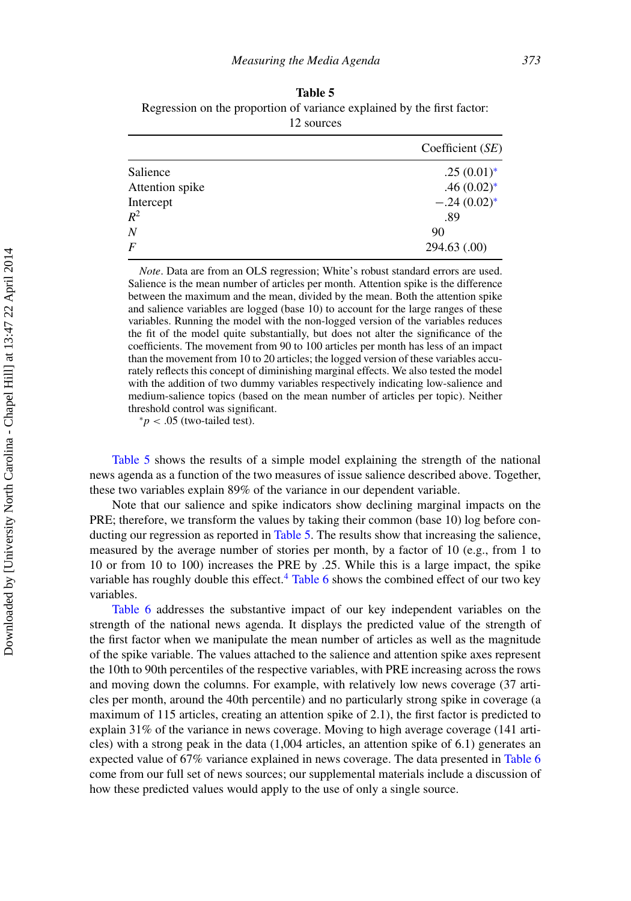<span id="page-19-0"></span>**Table 5** Regression on the proportion of variance explained by the first factor: 12 sources

|                 | Coefficient $(SE)$ |
|-----------------|--------------------|
| Salience        | $.25(0.01)^*$      |
| Attention spike | $.46(0.02)$ *      |
| Intercept       | $-.24(0.02)$ *     |
| $R^2$           | .89                |
| Ν               | 90                 |
| $\overline{F}$  | 294.63 (.00)       |

*Note*. Data are from an OLS regression; White's robust standard errors are used. Salience is the mean number of articles per month. Attention spike is the difference between the maximum and the mean, divided by the mean. Both the attention spike and salience variables are logged (base 10) to account for the large ranges of these variables. Running the model with the non-logged version of the variables reduces the fit of the model quite substantially, but does not alter the significance of the coefficients. The movement from 90 to 100 articles per month has less of an impact than the movement from 10 to 20 articles; the logged version of these variables accurately reflects this concept of diminishing marginal effects. We also tested the model with the addition of two dummy variables respectively indicating low-salience and medium-salience topics (based on the mean number of articles per topic). Neither threshold control was significant.

 $* p < .05$  (two-tailed test).

[Table 5](#page-19-0) shows the results of a simple model explaining the strength of the national news agenda as a function of the two measures of issue salience described above. Together, these two variables explain 89% of the variance in our dependent variable.

Note that our salience and spike indicators show declining marginal impacts on the PRE; therefore, we transform the values by taking their common (base 10) log before conducting our regression as reported in [Table 5.](#page-19-0) The results show that increasing the salience, measured by the average number of stories per month, by a factor of 10 (e.g., from 1 to 10 or from 10 to 100) increases the PRE by .25. While this is a large impact, the spike variable has roughly double this effect. $4$  [Table 6](#page-20-0) shows the combined effect of our two key variables.

[Table 6](#page-20-0) addresses the substantive impact of our key independent variables on the strength of the national news agenda. It displays the predicted value of the strength of the first factor when we manipulate the mean number of articles as well as the magnitude of the spike variable. The values attached to the salience and attention spike axes represent the 10th to 90th percentiles of the respective variables, with PRE increasing across the rows and moving down the columns. For example, with relatively low news coverage (37 articles per month, around the 40th percentile) and no particularly strong spike in coverage (a maximum of 115 articles, creating an attention spike of 2.1), the first factor is predicted to explain 31% of the variance in news coverage. Moving to high average coverage (141 articles) with a strong peak in the data (1,004 articles, an attention spike of 6.1) generates an expected value of 67% variance explained in news coverage. The data presented in [Table 6](#page-20-0) come from our full set of news sources; our supplemental materials include a discussion of how these predicted values would apply to the use of only a single source.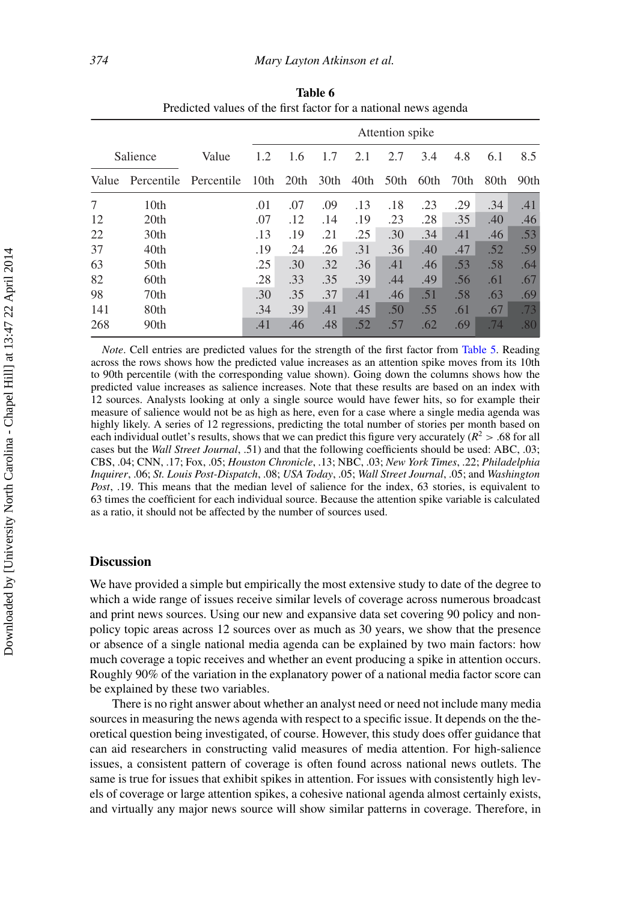|          |                  |            | Attention spike |      |      |      |      |      |      |      |      |
|----------|------------------|------------|-----------------|------|------|------|------|------|------|------|------|
| Salience |                  | Value      | 1.2             | 1.6  | 1.7  | 2.1  | 2.7  | 3.4  | 4.8  | 6.1  | 8.5  |
| Value    | Percentile       | Percentile | 10th            | 20th | 30th | 40th | 50th | 60th | 70th | 80th | 90th |
| 7        | 10 <sub>th</sub> |            | .01             | .07  | .09  | .13  | .18  | .23  | .29  | .34  | .41  |
| 12       | 20th             |            | .07             | .12  | .14  | .19  | .23  | .28  | .35  | .40  | .46  |
| 22       | 30th             |            | .13             | .19  | .21  | .25  | .30  | .34  | .41  | .46  | .53  |
| 37       | 40th             |            | .19             | .24  | .26  | .31  | .36  | .40  | .47  | .52  | .59  |
| 63       | 50 <sub>th</sub> |            | .25             | .30  | .32  | .36  | .41  | .46  | .53  | .58  | .64  |
| 82       | 60th             |            | .28             | .33  | .35  | .39  | .44  | .49  | .56  | .61  | .67  |
| 98       | 70th             |            | .30             | .35  | .37  | .41  | .46  | .51  | .58  | .63  | .69  |
| 141      | 80th             |            | .34             | .39  | .41  | .45  | .50  | .55  | .61  | .67  | .73  |
| 268      | 90th             |            | .41             | .46  | .48  | .52  | .57  | .62  | .69  | .74  | .80  |

<span id="page-20-0"></span>**Table 6** Predicted values of the first factor for a national news agenda

*Note*. Cell entries are predicted values for the strength of the first factor from [Table 5.](#page-19-0) Reading across the rows shows how the predicted value increases as an attention spike moves from its 10th to 90th percentile (with the corresponding value shown). Going down the columns shows how the predicted value increases as salience increases. Note that these results are based on an index with 12 sources. Analysts looking at only a single source would have fewer hits, so for example their measure of salience would not be as high as here, even for a case where a single media agenda was highly likely. A series of 12 regressions, predicting the total number of stories per month based on each individual outlet's results, shows that we can predict this figure very accurately ( $R^2 > .68$  for all cases but the *Wall Street Journal*, .51) and that the following coefficients should be used: ABC, .03; CBS, .04; CNN, .17; Fox, .05; *Houston Chronicle*, .13; NBC, .03; *New York Times*, .22; *Philadelphia Inquirer*, .06; *St. Louis Post-Dispatch*, .08; *USA Today*, .05; *Wall Street Journal*, .05; and *Washington Post*, .19. This means that the median level of salience for the index, 63 stories, is equivalent to 63 times the coefficient for each individual source. Because the attention spike variable is calculated as a ratio, it should not be affected by the number of sources used.

#### **Discussion**

We have provided a simple but empirically the most extensive study to date of the degree to which a wide range of issues receive similar levels of coverage across numerous broadcast and print news sources. Using our new and expansive data set covering 90 policy and nonpolicy topic areas across 12 sources over as much as 30 years, we show that the presence or absence of a single national media agenda can be explained by two main factors: how much coverage a topic receives and whether an event producing a spike in attention occurs. Roughly 90% of the variation in the explanatory power of a national media factor score can be explained by these two variables.

There is no right answer about whether an analyst need or need not include many media sources in measuring the news agenda with respect to a specific issue. It depends on the theoretical question being investigated, of course. However, this study does offer guidance that can aid researchers in constructing valid measures of media attention. For high-salience issues, a consistent pattern of coverage is often found across national news outlets. The same is true for issues that exhibit spikes in attention. For issues with consistently high levels of coverage or large attention spikes, a cohesive national agenda almost certainly exists, and virtually any major news source will show similar patterns in coverage. Therefore, in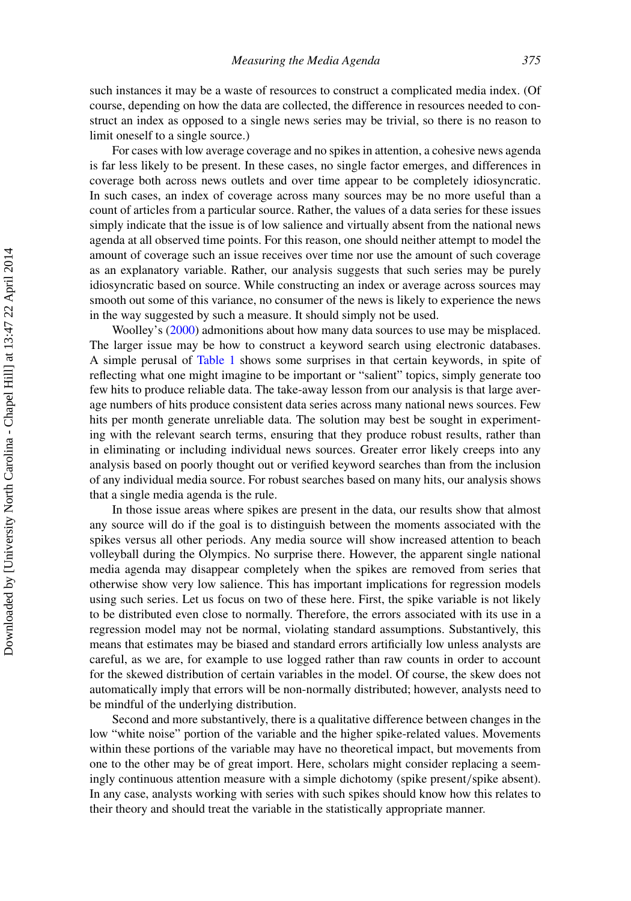such instances it may be a waste of resources to construct a complicated media index. (Of course, depending on how the data are collected, the difference in resources needed to construct an index as opposed to a single news series may be trivial, so there is no reason to limit oneself to a single source.)

For cases with low average coverage and no spikes in attention, a cohesive news agenda is far less likely to be present. In these cases, no single factor emerges, and differences in coverage both across news outlets and over time appear to be completely idiosyncratic. In such cases, an index of coverage across many sources may be no more useful than a count of articles from a particular source. Rather, the values of a data series for these issues simply indicate that the issue is of low salience and virtually absent from the national news agenda at all observed time points. For this reason, one should neither attempt to model the amount of coverage such an issue receives over time nor use the amount of such coverage as an explanatory variable. Rather, our analysis suggests that such series may be purely idiosyncratic based on source. While constructing an index or average across sources may smooth out some of this variance, no consumer of the news is likely to experience the news in the way suggested by such a measure. It should simply not be used.

Woolley's [\(2000\)](#page-24-12) admonitions about how many data sources to use may be misplaced. The larger issue may be how to construct a keyword search using electronic databases. A simple perusal of [Table 1](#page-7-0) shows some surprises in that certain keywords, in spite of reflecting what one might imagine to be important or "salient" topics, simply generate too few hits to produce reliable data. The take-away lesson from our analysis is that large average numbers of hits produce consistent data series across many national news sources. Few hits per month generate unreliable data. The solution may best be sought in experimenting with the relevant search terms, ensuring that they produce robust results, rather than in eliminating or including individual news sources. Greater error likely creeps into any analysis based on poorly thought out or verified keyword searches than from the inclusion of any individual media source. For robust searches based on many hits, our analysis shows that a single media agenda is the rule.

In those issue areas where spikes are present in the data, our results show that almost any source will do if the goal is to distinguish between the moments associated with the spikes versus all other periods. Any media source will show increased attention to beach volleyball during the Olympics. No surprise there. However, the apparent single national media agenda may disappear completely when the spikes are removed from series that otherwise show very low salience. This has important implications for regression models using such series. Let us focus on two of these here. First, the spike variable is not likely to be distributed even close to normally. Therefore, the errors associated with its use in a regression model may not be normal, violating standard assumptions. Substantively, this means that estimates may be biased and standard errors artificially low unless analysts are careful, as we are, for example to use logged rather than raw counts in order to account for the skewed distribution of certain variables in the model. Of course, the skew does not automatically imply that errors will be non-normally distributed; however, analysts need to be mindful of the underlying distribution.

Second and more substantively, there is a qualitative difference between changes in the low "white noise" portion of the variable and the higher spike-related values. Movements within these portions of the variable may have no theoretical impact, but movements from one to the other may be of great import. Here, scholars might consider replacing a seemingly continuous attention measure with a simple dichotomy (spike present*/*spike absent). In any case, analysts working with series with such spikes should know how this relates to their theory and should treat the variable in the statistically appropriate manner.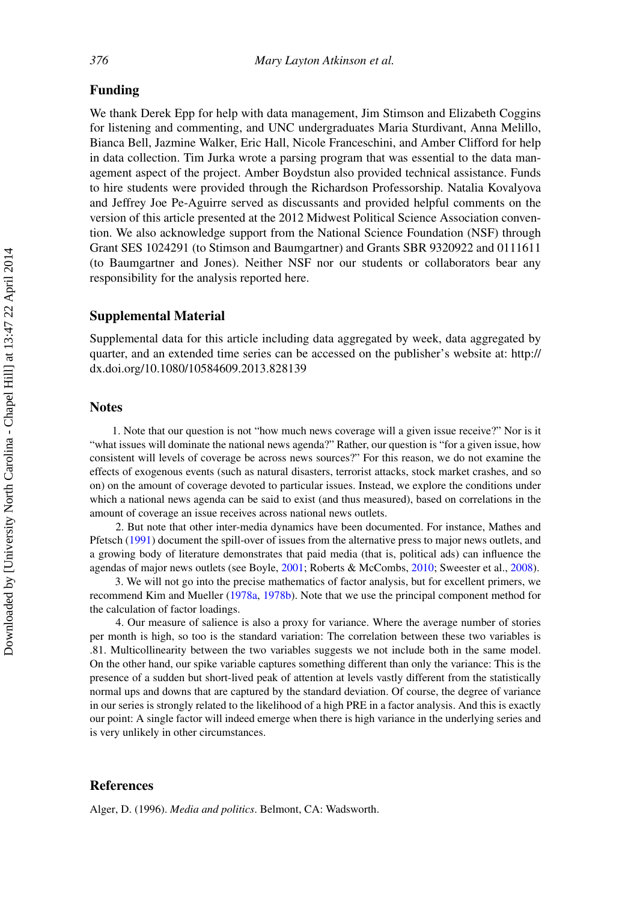#### **Funding**

We thank Derek Epp for help with data management, Jim Stimson and Elizabeth Coggins for listening and commenting, and UNC undergraduates Maria Sturdivant, Anna Melillo, Bianca Bell, Jazmine Walker, Eric Hall, Nicole Franceschini, and Amber Clifford for help in data collection. Tim Jurka wrote a parsing program that was essential to the data management aspect of the project. Amber Boydstun also provided technical assistance. Funds to hire students were provided through the Richardson Professorship. Natalia Kovalyova and Jeffrey Joe Pe-Aguirre served as discussants and provided helpful comments on the version of this article presented at the 2012 Midwest Political Science Association convention. We also acknowledge support from the National Science Foundation (NSF) through Grant SES 1024291 (to Stimson and Baumgartner) and Grants SBR 9320922 and 0111611 (to Baumgartner and Jones). Neither NSF nor our students or collaborators bear any responsibility for the analysis reported here.

#### **Supplemental Material**

Supplemental data for this article including data aggregated by week, data aggregated by quarter, and an extended time series can be accessed on the publisher's website at: [http://](http://dx.doi.org/10.1080/10584609.2013.828139) [dx.doi.org/10.1080/10584609.2013.828139](http://dx.doi.org/10.1080/10584609.2013.828139)

#### **Notes**

1. Note that our question is not "how much news coverage will a given issue receive?" Nor is it "what issues will dominate the national news agenda?" Rather, our question is "for a given issue, how consistent will levels of coverage be across news sources?" For this reason, we do not examine the effects of exogenous events (such as natural disasters, terrorist attacks, stock market crashes, and so on) on the amount of coverage devoted to particular issues. Instead, we explore the conditions under which a national news agenda can be said to exist (and thus measured), based on correlations in the amount of coverage an issue receives across national news outlets.

<span id="page-22-0"></span>2. But note that other inter-media dynamics have been documented. For instance, Mathes and Pfetsch [\(1991\)](#page-24-23) document the spill-over of issues from the alternative press to major news outlets, and a growing body of literature demonstrates that paid media (that is, political ads) can influence the agendas of major news outlets (see Boyle, [2001;](#page-23-17) Roberts & McCombs, [2010;](#page-24-24) Sweester et al., [2008\)](#page-24-18).

<span id="page-22-2"></span>3. We will not go into the precise mathematics of factor analysis, but for excellent primers, we recommend Kim and Mueller [\(1978a,](#page-24-25) [1978b\)](#page-24-25). Note that we use the principal component method for the calculation of factor loadings.

<span id="page-22-3"></span>4. Our measure of salience is also a proxy for variance. Where the average number of stories per month is high, so too is the standard variation: The correlation between these two variables is .81. Multicollinearity between the two variables suggests we not include both in the same model. On the other hand, our spike variable captures something different than only the variance: This is the presence of a sudden but short-lived peak of attention at levels vastly different from the statistically normal ups and downs that are captured by the standard deviation. Of course, the degree of variance in our series is strongly related to the likelihood of a high PRE in a factor analysis. And this is exactly our point: A single factor will indeed emerge when there is high variance in the underlying series and is very unlikely in other circumstances.

#### <span id="page-22-4"></span>**References**

<span id="page-22-1"></span>Alger, D. (1996). *Media and politics*. Belmont, CA: Wadsworth.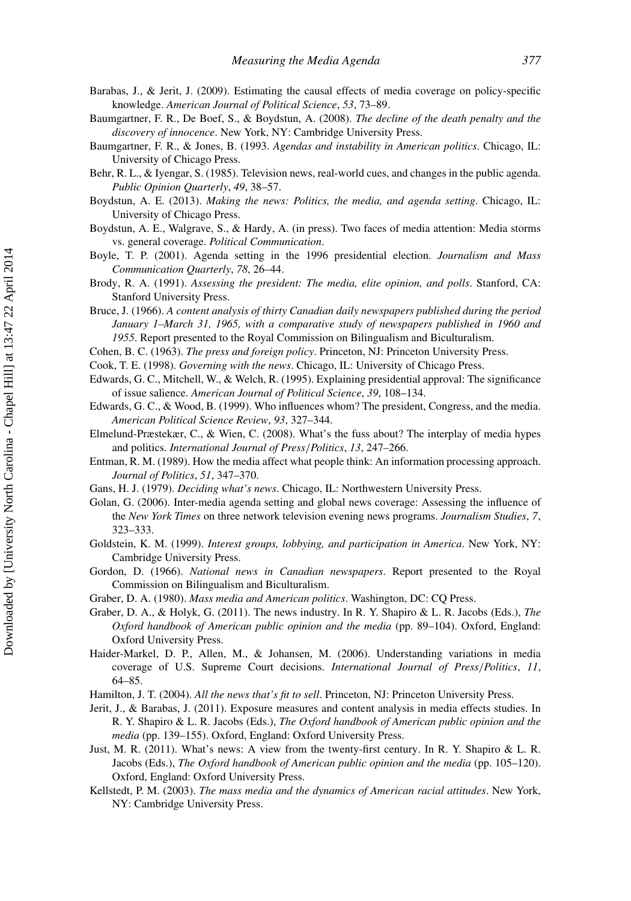- <span id="page-23-0"></span>Barabas, J., & Jerit, J. (2009). Estimating the causal effects of media coverage on policy-specific knowledge. *American Journal of Political Science*, *53*, 73–89.
- <span id="page-23-3"></span>Baumgartner, F. R., De Boef, S., & Boydstun, A. (2008). *The decline of the death penalty and the discovery of innocence*. New York, NY: Cambridge University Press.
- <span id="page-23-4"></span>Baumgartner, F. R., & Jones, B. (1993. *Agendas and instability in American politics*. Chicago, IL: University of Chicago Press.
- <span id="page-23-1"></span>Behr, R. L., & Iyengar, S. (1985). Television news, real-world cues, and changes in the public agenda. *Public Opinion Quarterly*, *49*, 38–57.
- <span id="page-23-5"></span>Boydstun, A. E. (2013). *Making the news: Politics, the media, and agenda setting*. Chicago, IL: University of Chicago Press.
- Boydstun, A. E., Walgrave, S., & Hardy, A. (in press). Two faces of media attention: Media storms vs. general coverage. *Political Communication*.
- <span id="page-23-17"></span>Boyle, T. P. (2001). Agenda setting in the 1996 presidential election. *Journalism and Mass Communication Quarterly*, *78*, 26–44.
- <span id="page-23-8"></span>Brody, R. A. (1991). *Assessing the president: The media, elite opinion, and polls*. Stanford, CA: Stanford University Press.
- <span id="page-23-21"></span>Bruce, J. (1966). *A content analysis of thirty Canadian daily newspapers published during the period January 1–March 31, 1965, with a comparative study of newspapers published in 1960 and 1955*. Report presented to the Royal Commission on Bilingualism and Biculturalism.
- <span id="page-23-10"></span>Cohen, B. C. (1963). *The press and foreign policy*. Princeton, NJ: Princeton University Press.
- <span id="page-23-14"></span>Cook, T. E. (1998). *Governing with the news*. Chicago, IL: University of Chicago Press.
- <span id="page-23-9"></span>Edwards, G. C., Mitchell, W., & Welch, R. (1995). Explaining presidential approval: The significance of issue salience. *American Journal of Political Science*, *39*, 108–134.
- <span id="page-23-6"></span>Edwards, G. C., & Wood, B. (1999). Who influences whom? The president, Congress, and the media. *American Political Science Review*, *93*, 327–344.
- <span id="page-23-20"></span>Elmelund-Præstekær, C., & Wien, C. (2008). What's the fuss about? The interplay of media hypes and politics. *International Journal of Press/Politics*, *13*, 247–266.
- <span id="page-23-11"></span>Entman, R. M. (1989). How the media affect what people think: An information processing approach. *Journal of Politics*, *51*, 347–370.
- <span id="page-23-12"></span>Gans, H. J. (1979). *Deciding what's news*. Chicago, IL: Northwestern University Press.
- <span id="page-23-18"></span>Golan, G. (2006). Inter-media agenda setting and global news coverage: Assessing the influence of the *New York Times* on three network television evening news programs. *Journalism Studies*, *7*, 323–333.
- <span id="page-23-7"></span>Goldstein, K. M. (1999). *Interest groups, lobbying, and participation in America*. New York, NY: Cambridge University Press.
- <span id="page-23-22"></span>Gordon, D. (1966). *National news in Canadian newspapers*. Report presented to the Royal Commission on Bilingualism and Biculturalism.
- <span id="page-23-15"></span>Graber, D. A. (1980). *Mass media and American politics*. Washington, DC: CQ Press.
- <span id="page-23-19"></span>Graber, D. A., & Holyk, G. (2011). The news industry. In R. Y. Shapiro & L. R. Jacobs (Eds.), *The Oxford handbook of American public opinion and the media* (pp. 89–104). Oxford, England: Oxford University Press.
- <span id="page-23-23"></span>Haider-Markel, D. P., Allen, M., & Johansen, M. (2006). Understanding variations in media coverage of U.S. Supreme Court decisions. *International Journal of Press/Politics*, *11*, 64–85.
- <span id="page-23-13"></span>Hamilton, J. T. (2004). *All the news that's fit to sell*. Princeton, NJ: Princeton University Press.
- Jerit, J., & Barabas, J. (2011). Exposure measures and content analysis in media effects studies. In R. Y. Shapiro & L. R. Jacobs (Eds.), *The Oxford handbook of American public opinion and the media* (pp. 139–155). Oxford, England: Oxford University Press.
- <span id="page-23-16"></span>Just, M. R. (2011). What's news: A view from the twenty-first century. In R. Y. Shapiro & L. R. Jacobs (Eds.), *The Oxford handbook of American public opinion and the media* (pp. 105–120). Oxford, England: Oxford University Press.
- <span id="page-23-2"></span>Kellstedt, P. M. (2003). *The mass media and the dynamics of American racial attitudes*. New York, NY: Cambridge University Press.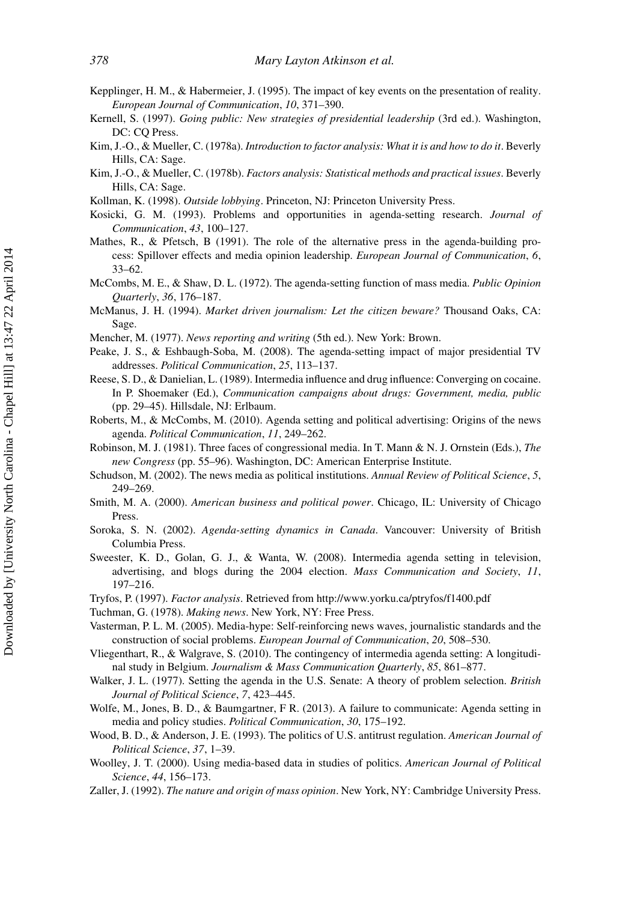- <span id="page-24-19"></span>Kepplinger, H. M., & Habermeier, J. (1995). The impact of key events on the presentation of reality. *European Journal of Communication*, *10*, 371–390.
- <span id="page-24-7"></span>Kernell, S. (1997). *Going public: New strategies of presidential leadership* (3rd ed.). Washington, DC: CQ Press.
- Kim, J.-O., & Mueller, C. (1978a). *Introduction to factor analysis: What it is and how to do it*. Beverly Hills, CA: Sage.
- <span id="page-24-25"></span>Kim, J.-O., & Mueller, C. (1978b). *Factors analysis: Statistical methods and practical issues*. Beverly Hills, CA: Sage.
- <span id="page-24-5"></span>Kollman, K. (1998). *Outside lobbying*. Princeton, NJ: Princeton University Press.
- <span id="page-24-8"></span>Kosicki, G. M. (1993). Problems and opportunities in agenda-setting research. *Journal of Communication*, *43*, 100–127.
- <span id="page-24-23"></span>Mathes, R., & Pfetsch, B (1991). The role of the alternative press in the agenda-building process: Spillover effects and media opinion leadership. *European Journal of Communication*, *6*, 33–62.
- <span id="page-24-9"></span>McCombs, M. E., & Shaw, D. L. (1972). The agenda-setting function of mass media. *Public Opinion Quarterly*, *36*, 176–187.
- <span id="page-24-15"></span>McManus, J. H. (1994). *Market driven journalism: Let the citizen beware?* Thousand Oaks, CA: Sage.
- <span id="page-24-16"></span>Mencher, M. (1977). *News reporting and writing* (5th ed.). New York: Brown.
- <span id="page-24-4"></span>Peake, J. S., & Eshbaugh-Soba, M. (2008). The agenda-setting impact of major presidential TV addresses. *Political Communication*, *25*, 113–137.
- <span id="page-24-17"></span>Reese, S. D., & Danielian, L. (1989). Intermedia influence and drug influence: Converging on cocaine. In P. Shoemaker (Ed.), *Communication campaigns about drugs: Government, media, public* (pp. 29–45). Hillsdale, NJ: Erlbaum.
- <span id="page-24-24"></span>Roberts, M., & McCombs, M. (2010). Agenda setting and political advertising: Origins of the news agenda. *Political Communication*, *11*, 249–262.
- <span id="page-24-21"></span>Robinson, M. J. (1981). Three faces of congressional media. In T. Mann & N. J. Ornstein (Eds.), *The new Congress* (pp. 55–96). Washington, DC: American Enterprise Institute.
- <span id="page-24-13"></span>Schudson, M. (2002). The news media as political institutions. *Annual Review of Political Science*, *5*, 249–269.
- <span id="page-24-6"></span>Smith, M. A. (2000). *American business and political power*. Chicago, IL: University of Chicago Press.
- <span id="page-24-3"></span>Soroka, S. N. (2002). *Agenda-setting dynamics in Canada*. Vancouver: University of British Columbia Press.
- <span id="page-24-18"></span>Sweester, K. D., Golan, G. J., & Wanta, W. (2008). Intermedia agenda setting in television, advertising, and blogs during the 2004 election. *Mass Communication and Society*, *11*, 197–216.
- <span id="page-24-22"></span>Tryfos, P. (1997). *Factor analysis*. Retrieved from<http://www.yorku.ca/ptryfos/f1400.pdf>
- <span id="page-24-14"></span>Tuchman, G. (1978). *Making news*. New York, NY: Free Press.
- <span id="page-24-20"></span>Vasterman, P. L. M. (2005). Media-hype: Self-reinforcing news waves, journalistic standards and the construction of social problems. *European Journal of Communication*, *20*, 508–530.
- <span id="page-24-10"></span>Vliegenthart, R., & Walgrave, S. (2010). The contingency of intermedia agenda setting: A longitudinal study in Belgium. *Journalism & Mass Communication Quarterly*, *85*, 861–877.
- <span id="page-24-0"></span>Walker, J. L. (1977). Setting the agenda in the U.S. Senate: A theory of problem selection. *British Journal of Political Science*, *7*, 423–445.
- <span id="page-24-11"></span>Wolfe, M., Jones, B. D., & Baumgartner, F R. (2013). A failure to communicate: Agenda setting in media and policy studies. *Political Communication*, *30*, 175–192.
- <span id="page-24-1"></span>Wood, B. D., & Anderson, J. E. (1993). The politics of U.S. antitrust regulation. *American Journal of Political Science*, *37*, 1–39.
- <span id="page-24-12"></span>Woolley, J. T. (2000). Using media-based data in studies of politics. *American Journal of Political Science*, *44*, 156–173.
- <span id="page-24-2"></span>Zaller, J. (1992). *The nature and origin of mass opinion*. New York, NY: Cambridge University Press.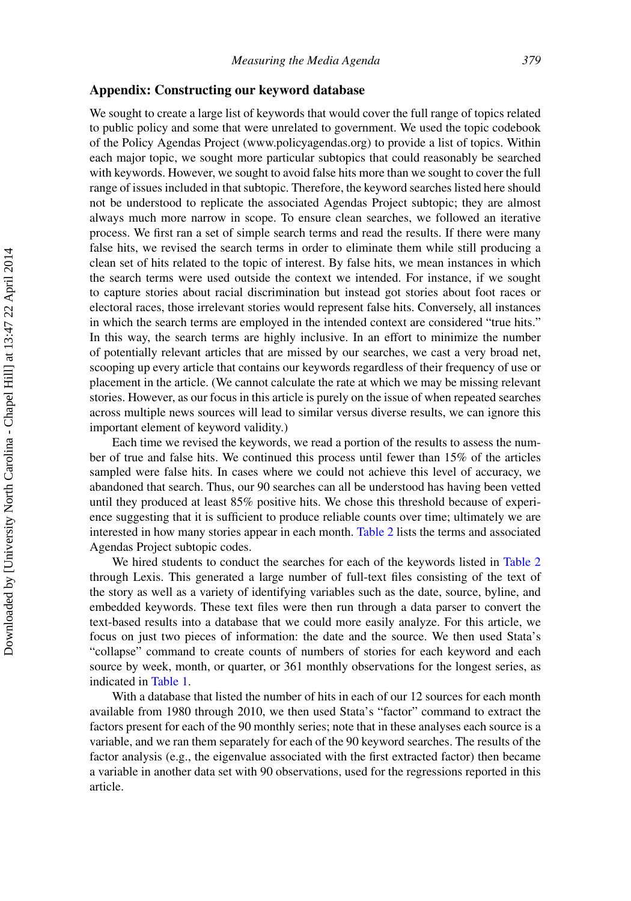#### **Appendix: Constructing our keyword database**

We sought to create a large list of keywords that would cover the full range of topics related to public policy and some that were unrelated to government. We used the topic codebook of the Policy Agendas Project [\(www.policyagendas.org\)](www.policyagendas.org) to provide a list of topics. Within each major topic, we sought more particular subtopics that could reasonably be searched with keywords. However, we sought to avoid false hits more than we sought to cover the full range of issues included in that subtopic. Therefore, the keyword searches listed here should not be understood to replicate the associated Agendas Project subtopic; they are almost always much more narrow in scope. To ensure clean searches, we followed an iterative process. We first ran a set of simple search terms and read the results. If there were many false hits, we revised the search terms in order to eliminate them while still producing a clean set of hits related to the topic of interest. By false hits, we mean instances in which the search terms were used outside the context we intended. For instance, if we sought to capture stories about racial discrimination but instead got stories about foot races or electoral races, those irrelevant stories would represent false hits. Conversely, all instances in which the search terms are employed in the intended context are considered "true hits." In this way, the search terms are highly inclusive. In an effort to minimize the number of potentially relevant articles that are missed by our searches, we cast a very broad net, scooping up every article that contains our keywords regardless of their frequency of use or placement in the article. (We cannot calculate the rate at which we may be missing relevant stories. However, as our focus in this article is purely on the issue of when repeated searches across multiple news sources will lead to similar versus diverse results, we can ignore this important element of keyword validity.)

Each time we revised the keywords, we read a portion of the results to assess the number of true and false hits. We continued this process until fewer than 15% of the articles sampled were false hits. In cases where we could not achieve this level of accuracy, we abandoned that search. Thus, our 90 searches can all be understood has having been vetted until they produced at least 85% positive hits. We chose this threshold because of experience suggesting that it is sufficient to produce reliable counts over time; ultimately we are interested in how many stories appear in each month. [Table 2](#page-9-0) lists the terms and associated Agendas Project subtopic codes.

We hired students to conduct the searches for each of the keywords listed in [Table 2](#page-9-0) through Lexis. This generated a large number of full-text files consisting of the text of the story as well as a variety of identifying variables such as the date, source, byline, and embedded keywords. These text files were then run through a data parser to convert the text-based results into a database that we could more easily analyze. For this article, we focus on just two pieces of information: the date and the source. We then used Stata's "collapse" command to create counts of numbers of stories for each keyword and each source by week, month, or quarter, or 361 monthly observations for the longest series, as indicated in [Table 1.](#page-7-0)

With a database that listed the number of hits in each of our 12 sources for each month available from 1980 through 2010, we then used Stata's "factor" command to extract the factors present for each of the 90 monthly series; note that in these analyses each source is a variable, and we ran them separately for each of the 90 keyword searches. The results of the factor analysis (e.g., the eigenvalue associated with the first extracted factor) then became a variable in another data set with 90 observations, used for the regressions reported in this article.